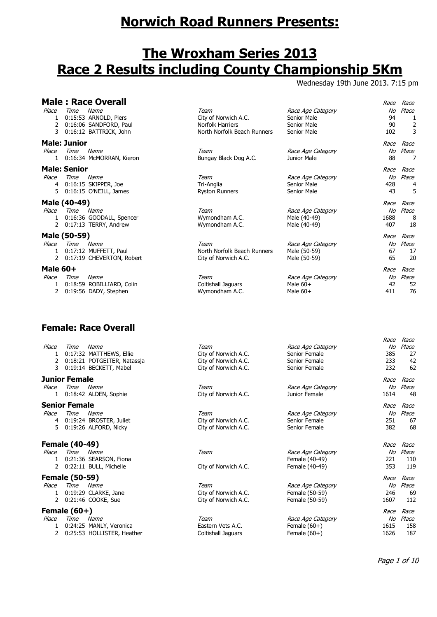# **Norwich Road Runners Presents:**

## **The Wroxham Series 2013 Race 2 Results including County Championship 5Km**

Wednesday 19th June 2013. 7:15 pm

|                              |                             | <b>Male: Race Overall</b>                                                         |                                                                                        |                                                                | Race                      | Race                                  |
|------------------------------|-----------------------------|-----------------------------------------------------------------------------------|----------------------------------------------------------------------------------------|----------------------------------------------------------------|---------------------------|---------------------------------------|
| Place<br>1                   | Time                        | Name<br>0:15:53 ARNOLD, Piers<br>0:16:06 SANDFORD, Paul<br>0:16:12 BATTRICK, John | Team<br>City of Norwich A.C.<br><b>Norfolk Harriers</b><br>North Norfolk Beach Runners | Race Age Category<br>Senior Male<br>Senior Male<br>Senior Male | No<br>94<br>90<br>102     | Place<br>$\overline{\mathbf{c}}$<br>3 |
| Place<br>1.                  | <b>Male: Junior</b><br>Time | Name<br>0:16:34 McMORRAN, Kieron                                                  | Team<br>Bungay Black Dog A.C.                                                          | Race Age Category<br>Junior Male                               | Race<br>No<br>88          | Race<br>Place<br>7                    |
| Place<br>4<br>5.             | <b>Male: Senior</b><br>Time | Name<br>0:16:15 SKIPPER, Joe<br>0:16:15 O'NEILL, James                            | Team<br>Tri-Anglia<br><b>Ryston Runners</b>                                            | Race Age Category<br>Senior Male<br>Senior Male                | Race<br>No<br>428<br>43   | Race<br>Place<br>4<br>5               |
| Place<br>1.<br>$\mathcal{P}$ | Male (40-49)<br><b>Time</b> | Name<br>0:16:36 GOODALL, Spencer<br>0:17:13 TERRY, Andrew                         | Team<br>Wymondham A.C.<br>Wymondham A.C.                                               | Race Age Category<br>Male (40-49)<br>Male (40-49)              | Race<br>No<br>1688<br>407 | Race<br>Place<br>8<br>18              |
| Place<br>1.<br>2             | Male (50-59)<br>Time        | Name<br>0:17:12 MUFFETT, Paul<br>0:17:19 CHEVERTON, Robert                        | Team<br>North Norfolk Beach Runners<br>City of Norwich A.C.                            | Race Age Category<br>Male (50-59)<br>Male (50-59)              | Race<br>No<br>67<br>65    | Race<br>Place<br>17<br>20             |
| Male 60+<br>Place<br>1<br>2  | Time                        | Name<br>0:18:59 ROBILLIARD, Colin<br>0:19:56 DADY, Stephen                        | Team<br>Coltishall Jaguars<br>Wymondham A.C.                                           | Race Age Category<br>Male $60+$<br>Male $60+$                  | Race<br>No<br>42<br>411   | Race<br>Place<br>52<br>76             |

## **Female: Race Overall**

| Place<br>2<br>3        | Time                   | Name<br>0:17:32 MATTHEWS, Ellie<br>0:18:21 POTGEITER, Natassja<br>0:19:14 BECKETT, Mabel | Team<br>City of Norwich A.C.<br>City of Norwich A.C.<br>City of Norwich A.C. | Race Age Category<br>Senior Female<br>Senior Female<br>Senior Female | Race<br>No<br>385<br>233<br>232 | Race<br>Place<br>27<br>42<br>62 |
|------------------------|------------------------|------------------------------------------------------------------------------------------|------------------------------------------------------------------------------|----------------------------------------------------------------------|---------------------------------|---------------------------------|
| Place                  | Junior Female<br>Time  | Name<br>0:18:42 ALDEN, Sophie                                                            | Team<br>City of Norwich A.C.                                                 | Race Age Category<br>Junior Female                                   | Race<br>No<br>1614              | Race<br>Place<br>48             |
| Place<br>4<br>5.       | Senior Female<br>Time  | Name<br>0:19:24 BROSTER, Juliet<br>0:19:26 ALFORD, Nicky                                 | Team<br>City of Norwich A.C.<br>City of Norwich A.C.                         | Race Age Category<br>Senior Female<br>Senior Female                  | Race<br>No<br>251<br>382        | Race<br>Place<br>67<br>68       |
| Place<br>2             | Female (40-49)<br>Time | Name<br>0:21:36 SEARSON, Fiona<br>0:22:11 BULL, Michelle                                 | Team<br>City of Norwich A.C.                                                 | Race Age Category<br>Female (40-49)<br>Female (40-49)                | Race<br>No<br>221<br>353        | Race<br>Place<br>110<br>119     |
| Place<br>$\mathcal{L}$ | Female (50-59)<br>Time | Name<br>0:19:29 CLARKE, Jane<br>0:21:46 COOKE, Sue                                       | Team<br>City of Norwich A.C.<br>City of Norwich A.C.                         | Race Age Category<br>Female (50-59)<br>Female (50-59)                | Race<br>No<br>246<br>1607       | Race<br>Place<br>69<br>112      |
| Place<br>1.            | Female (60+)<br>Time   | Name<br>0:24:25 MANLY, Veronica<br>0:25:53 HOLLISTER, Heather                            | Team<br>Eastern Vets A.C.<br>Coltishall Jaguars                              | Race Age Category<br>Female $(60+)$<br>Female $(60+)$                | Race<br>No<br>1615<br>1626      | Race<br>Place<br>158<br>187     |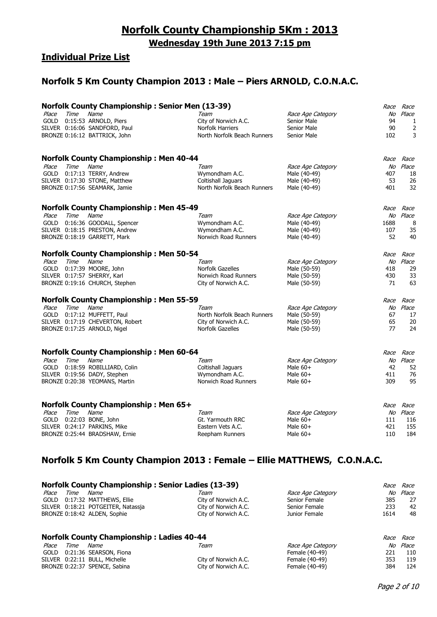## **Individual Prize List**

## **Norfolk 5 Km County Champion 2013 : Male – Piers ARNOLD, C.O.N.A.C.**

|             |      | <b>Norfolk County Championship: Senior Men (13-39)</b> |                             |                   | Race | Race      |
|-------------|------|--------------------------------------------------------|-----------------------------|-------------------|------|-----------|
| Place       | Time | Name                                                   | Team                        | Race Age Category | No   | Place     |
| <b>GOLD</b> |      | 0:15:53 ARNOLD, Piers                                  | City of Norwich A.C.        | Senior Male       | 94   | 1         |
|             |      | SILVER 0:16:06 SANDFORD, Paul                          | Norfolk Harriers            | Senior Male       | 90   | 2         |
|             |      | BRONZE 0:16:12 BATTRICK, John                          | North Norfolk Beach Runners | Senior Male       | 102  | 3         |
|             |      | <b>Norfolk County Championship: Men 40-44</b>          |                             |                   | Race | Race      |
| Place       | Time | Name                                                   | Team                        | Race Age Category | No   | Place     |
|             |      | GOLD 0:17:13 TERRY, Andrew                             | Wymondham A.C.              | Male (40-49)      | 407  | 18        |
|             |      | SILVER 0:17:30 STONE, Matthew                          | Coltishall Jaguars          | Male (40-49)      | 53   | 26        |
|             |      | BRONZE 0:17:56 SEAMARK, Jamie                          | North Norfolk Beach Runners | Male (40-49)      | 401  | 32        |
|             |      | <b>Norfolk County Championship: Men 45-49</b>          |                             |                   |      | Race Race |
| Place       | Time | Name                                                   | Team                        | Race Age Category | No   | Place     |
| <b>GOLD</b> |      | 0:16:36 GOODALL, Spencer                               | Wymondham A.C.              | Male (40-49)      | 1688 | 8         |
|             |      | SILVER 0:18:15 PRESTON, Andrew                         | Wymondham A.C.              | Male (40-49)      | 107  | 35        |
|             |      | BRONZE 0:18:19 GARRETT, Mark                           | Norwich Road Runners        | Male (40-49)      | 52   | 40        |
|             |      | <b>Norfolk County Championship: Men 50-54</b>          |                             |                   | Race | Race      |
| Place       | Time | Name                                                   | Team                        | Race Age Category | No   | Place     |
|             |      | GOLD 0:17:39 MOORE, John                               | Norfolk Gazelles            | Male (50-59)      | 418  | 29        |
|             |      | SILVER 0:17:57 SHERRY, Karl                            | Norwich Road Runners        | Male (50-59)      | 430  | 33        |
|             |      | BRONZE 0:19:16 CHURCH, Stephen                         | City of Norwich A.C.        | Male (50-59)      | 71   | 63        |
|             |      | <b>Norfolk County Championship: Men 55-59</b>          |                             |                   | Race | Race      |
| Place       | Time | Name                                                   | Team                        | Race Age Category |      | No Place  |
|             |      | GOLD 0:17:12 MUFFETT, Paul                             | North Norfolk Beach Runners | Male (50-59)      | 67   | 17        |
|             |      | SILVER 0:17:19 CHEVERTON, Robert                       | City of Norwich A.C.        | Male (50-59)      | 65   | 20        |
|             |      | BRONZE 0:17:25 ARNOLD, Nigel                           | Norfolk Gazelles            | Male (50-59)      | 77   | 24        |
|             |      | <b>Norfolk County Championship: Men 60-64</b>          |                             |                   |      | Race Race |
| Place       | Time | Name                                                   | Team                        | Race Age Category | No   | Place     |
| <b>GOLD</b> |      | 0:18:59 ROBILLIARD, Colin                              | Coltishall Jaguars          | Male $60+$        | 42   | 52        |
|             |      | SILVER 0:19:56 DADY, Stephen                           | Wymondham A.C.              | Male $60+$        | 411  | 76        |
|             |      | BRONZE 0:20:38 YEOMANS, Martin                         | Norwich Road Runners        | Male $60+$        | 309  | 95        |
|             |      |                                                        |                             |                   |      |           |
|             |      | <b>Norfolk County Championship: Men 65+</b>            |                             |                   | Race | Race      |
| Place       | Time | Name                                                   | Team                        | Race Age Category |      | No Place  |
| <b>GOLD</b> |      | 0:22:03 BONE, John                                     | Gt. Yarmouth RRC            | Male $60+$        | 111  | 116       |
|             |      | SILVER 0:24:17 PARKINS, Mike                           | Eastern Vets A.C.           | Male $60+$        | 421  | 155       |
|             |      | BRONZE 0:25:44 BRADSHAW, Ernie                         | Reepham Runners             | Male $60+$        | 110  | 184       |

## **Norfolk 5 Km County Champion 2013 : Female – Ellie MATTHEWS, C.O.N.A.C.**

|             | <b>Norfolk County Championship: Senior Ladies (13-39)</b><br><i>Race</i> |                                                  |                      |                   |             | Race  |
|-------------|--------------------------------------------------------------------------|--------------------------------------------------|----------------------|-------------------|-------------|-------|
| Place       | Time                                                                     | Name                                             | Team                 | Race Age Category | No          | Place |
| <b>GOLD</b> |                                                                          | 0:17:32 MATTHEWS, Ellie                          | City of Norwich A.C. | Senior Female     | 385         | 27    |
|             |                                                                          | SILVER 0:18:21 POTGEITER, Natassia               | City of Norwich A.C. | Senior Female     | 233         | 42    |
|             |                                                                          | BRONZE 0:18:42 ALDEN, Sophie                     | City of Norwich A.C. | Junior Female     | 1614        | 48    |
|             |                                                                          | <b>Norfolk County Championship: Ladies 40-44</b> |                      |                   | <i>Race</i> | Race  |
| Place       | Time                                                                     | Name                                             | Team                 | Race Age Category | No.         | Place |
| <b>GOLD</b> |                                                                          | 0:21:36 SEARSON, Fiona                           |                      | Female (40-49)    | 221         | 110   |
|             |                                                                          | SILVER 0:22:11 BULL, Michelle                    | City of Norwich A.C. | Female (40-49)    | 353         | 119   |
|             |                                                                          | BRONZE 0:22:37 SPENCE, Sabina                    | City of Norwich A.C. | Female (40-49)    | 384         | 124   |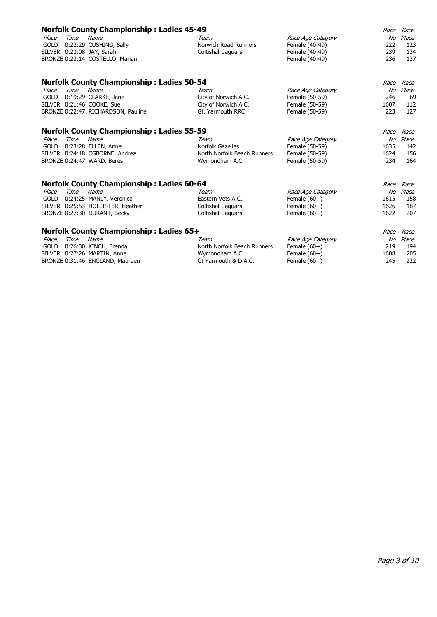|             |             | <b>Norfolk County Championship: Ladies 45-49</b> |                             |                   | Race | Race  |
|-------------|-------------|--------------------------------------------------|-----------------------------|-------------------|------|-------|
| Place       | Time        | Name                                             | Team                        | Race Age Category | No   | Place |
| <b>GOLD</b> |             | 0:22:29 CUSHING, Sally                           | Norwich Road Runners        | Female (40-49)    | 222  | 123   |
|             |             | SILVER 0:23:08 JAY, Sarah                        | Coltishall Jaguars          | Female (40-49)    | 239  | 134   |
|             |             | BRONZE 0:23:14 COSTELLO, Marian                  |                             | Female (40-49)    | 236  | 137   |
|             |             | <b>Norfolk County Championship: Ladies 50-54</b> |                             |                   | Race | Race  |
| Place       | Time        | Name                                             | Team                        | Race Age Category | No   | Place |
| <b>GOLD</b> |             | 0:19:29 CLARKE, Jane                             | City of Norwich A.C.        | Female (50-59)    | 246  | 69    |
|             |             | SILVER 0:21:46 COOKE, Sue                        | City of Norwich A.C.        | Female (50-59)    | 1607 | 112   |
|             |             | BRONZE 0:22:47 RICHARDSON, Pauline               | Gt. Yarmouth RRC            | Female (50-59)    | 223  | 127   |
|             |             | <b>Norfolk County Championship: Ladies 55-59</b> |                             |                   | Race | Race  |
| Place       | <b>Time</b> | Name                                             | Team                        | Race Age Category | No   | Place |
| <b>GOLD</b> |             | 0:23:28 ELLEN, Anne                              | Norfolk Gazelles            | Female (50-59)    | 1635 | 142   |
|             |             | SILVER 0:24:18 OSBORNE, Andrea                   | North Norfolk Beach Runners | Female (50-59)    | 1624 | 156   |
|             |             | BRONZE 0:24:47 WARD, Beres                       | Wymondham A.C.              | Female (50-59)    | 234  | 164   |
|             |             | <b>Norfolk County Championship: Ladies 60-64</b> |                             |                   | Race | Race  |
| Place       | Time        | Name                                             | Team                        | Race Age Category | No   | Place |
| <b>GOLD</b> |             | 0:24:25 MANLY, Veronica                          | Eastern Vets A.C.           | Female $(60+)$    | 1615 | 158   |
|             |             | SILVER 0:25:53 HOLLISTER, Heather                | Coltishall Jaquars          | Female $(60+)$    | 1626 | 187   |
|             |             | BRONZE 0:27:30 DURANT, Becky                     | Coltishall Jaguars          | Female $(60+)$    | 1622 | 207   |
|             |             | <b>Norfolk County Championship: Ladies 65+</b>   |                             |                   | Race | Race  |
| Place       | Time        | Name                                             | Team                        | Race Age Category | No   | Place |
| <b>GOLD</b> |             | 0:26:30 KINCH, Brenda                            | North Norfolk Beach Runners | Female $(60+)$    | 219  | 194   |
|             |             | SILVER 0:27:26 MARTIN, Anne                      | Wymondham A.C.              | Female $(60+)$    | 1608 | 205   |
|             |             | BRONZE 0:31:46 ENGLAND, Maureen                  | Gt Yarmouth & D.A.C.        | Female $(60+)$    | 245  | 222   |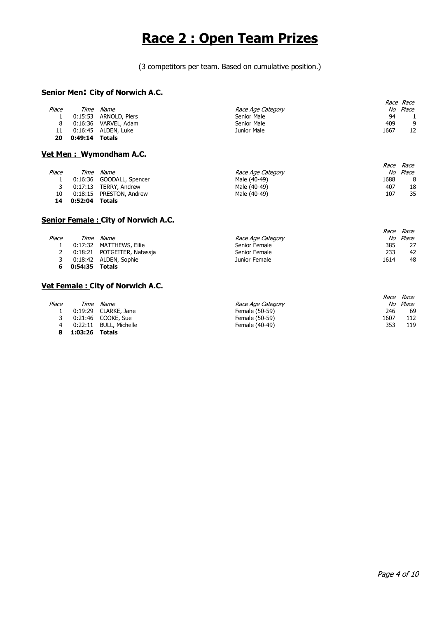# **Race 2 : Open Team Prizes**

(3 competitors per team. Based on cumulative position.)

#### **Senior Men: City of Norwich A.C.**

|       |                |                       |                   |      | <i>Race Race</i> |
|-------|----------------|-----------------------|-------------------|------|------------------|
| Place | Time           | <i>Name</i>           | Race Age Category |      | No Place         |
|       |                | 0:15:53 ARNOLD, Piers | Senior Male       | 94   |                  |
|       |                | 0:16:36 VARVEL, Adam  | Senior Male       | 409  | 9                |
| 11    |                | 0:16:45 ALDEN, Luke   | Junior Male       | 1667 | 12               |
| 20    | 0:49:14 Totals |                       |                   |      |                  |

#### **Vet Men : Wymondham A.C.**

|       |         |                          |                   |      | <i>Race Race</i> |
|-------|---------|--------------------------|-------------------|------|------------------|
| Place | Time    | Name                     | Race Age Category |      | No Place         |
|       |         | 0:16:36 GOODALL, Spencer | Male (40-49)      | 1688 | 8                |
|       |         | 0:17:13 TERRY, Andrew    | Male (40-49)      | 407  | 18               |
| 10    |         | 0:18:15 PRESTON, Andrew  | Male (40-49)      | 107  | 35               |
| 14    | 0:52:04 | Totals                   |                   |      |                  |

#### **Senior Female : City of Norwich A.C.**

|       |         |                             |                   |      | <i>Race Race</i> |
|-------|---------|-----------------------------|-------------------|------|------------------|
| Place |         | Time Name                   | Race Age Category |      | No Place         |
|       |         | 0:17:32 MATTHEWS, Ellie     | Senior Female     | 385  | 27               |
|       |         | 0:18:21 POTGEITER, Natassia | Senior Female     | 233  | 42               |
|       |         | 0:18:42 ALDEN, Sophie       | Junior Female     | 1614 | 48               |
|       | 0:54:35 | <b>Totals</b>               |                   |      |                  |

#### **Vet Female : City of Norwich A.C.**

|       |         |                      |                   | Race | Race  |
|-------|---------|----------------------|-------------------|------|-------|
| Place | Time    | Name                 | Race Age Category | No   | Place |
|       |         | 0:19:29 CLARKE, Jane | Female (50-59)    | 246  | 69    |
|       |         | 0:21:46 COOKE, Sue   | Female (50-59)    | 1607 | 112   |
| 4     | 0:22:11 | BULL, Michelle       | Female (40-49)    | 353  | 119   |
| 8     | 1:03:26 | Totals               |                   |      |       |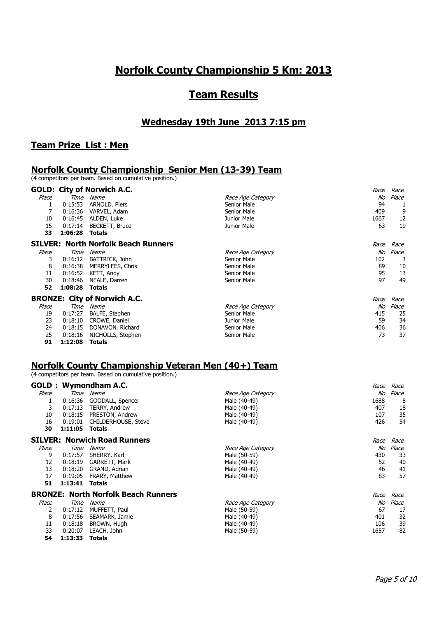## **Norfolk County Championship 5 Km: 2013**

## **Team Results**

#### **Wednesday 19th June 2013 7:15 pm**

#### **Team Prize List : Men**

#### **Norfolk County Championship Senior Men (13-39) Team**

(4 competitors per team. Based on cumulative position.)

|       |         | <b>GOLD: City of Norwich A.C.</b>          |                   | Race | Race  |
|-------|---------|--------------------------------------------|-------------------|------|-------|
| Place | Time    | Name                                       | Race Age Category | No   | Place |
|       | 0:15:53 | ARNOLD, Piers                              | Senior Male       | 94   |       |
| 7     | 0:16:36 | VARVEL, Adam                               | Senior Male       | 409  | 9     |
| 10    | 0:16:45 | ALDEN, Luke                                | Junior Male       | 1667 | 12    |
| 15    | 0:17:14 | BECKETT, Bruce                             | Junior Male       | 63   | 19    |
| 33    | 1:06:28 | Totals                                     |                   |      |       |
|       |         | <b>SILVER: North Norfolk Beach Runners</b> |                   | Race | Race  |
| Place | Time    | Name                                       | Race Age Category | No   | Place |
| 3     | 0:16:12 | BATTRICK, John                             | Senior Male       | 102  | 3     |
| 8     | 0:16:38 | MERRYLEES, Chris                           | Senior Male       | 89   | 10    |
| 11    | 0:16:52 | KETT, Andy                                 | Senior Male       | 95   | 13    |
| 30    | 0:18:46 | NEALE, Darren                              | Senior Male       | 97   | 49    |
| 52    | 1:08:28 | <b>Totals</b>                              |                   |      |       |
|       |         | <b>BRONZE: City of Norwich A.C.</b>        |                   | Race | Race  |
| Place | Time    | Name                                       | Race Age Category | No   | Place |
| 19    | 0:17:27 | <b>BALFE, Stephen</b>                      | Senior Male       | 415  | 25    |
| 23    | 0:18:10 | CROWE, Daniel                              | Junior Male       | 59   | 34    |
| 24    | 0:18:15 | DONAVON, Richard                           | Senior Male       | 406  | 36    |
| 25    | 0:18:16 | NICHOLLS, Stephen                          | Senior Male       | 73   | 37    |

**91 1:12:08 Totals**

### **Norfolk County Championship Veteran Men (40+) Team**

(4 competitors per team. Based on cumulative position.)

|       |         | <b>GOLD: Wymondham A.C.</b>                |                   | <i>Race</i> | Race  |
|-------|---------|--------------------------------------------|-------------------|-------------|-------|
| Place | Time    | Name                                       | Race Age Category | No          | Place |
| 1     | 0:16:36 | GOODALL, Spencer                           | Male (40-49)      | 1688        | 8     |
| 3     | 0:17:13 | TERRY, Andrew                              | Male (40-49)      | 407         | 18    |
| 10    | 0:18:15 | PRESTON, Andrew                            | Male (40-49)      | 107         | 35    |
| 16    | 0:19:01 | CHILDERHOUSE, Steve                        | Male (40-49)      | 426         | 54    |
| 30    | 1:11:05 | Totals                                     |                   |             |       |
|       |         | <b>SILVER: Norwich Road Runners</b>        |                   | Race        | Race  |
| Place | Time    | Name                                       | Race Age Category | No          | Place |
| 9     | 0:17:57 | SHERRY, Karl                               | Male (50-59)      | 430         | 33    |
| 12    | 0:18:19 | GARRETT, Mark                              | Male (40-49)      | 52          | 40    |
| 13    | 0:18:20 | GRAND, Adrian                              | Male (40-49)      | 46          | 41    |
| 17    | 0:19:05 | FRARY, Matthew                             | Male (40-49)      | 83          | 57    |
| 51    | 1:13:41 | Totals                                     |                   |             |       |
|       |         | <b>BRONZE: North Norfolk Beach Runners</b> |                   | Race        | Race  |
| Place | Time    | Name                                       | Race Age Category | No          | Place |
| 2     | 0:17:12 | MUFFETT, Paul                              | Male (50-59)      | 67          | 17    |
| 8     | 0:17:56 | SEAMARK, Jamie                             | Male (40-49)      | 401         | 32    |
| 11    | 0:18:18 | BROWN, Hugh                                | Male (40-49)      | 106         | 39    |
| 33    | 0:20:07 | LEACH, John                                | Male (50-59)      | 1657        | 82    |
| 54    | 1:13:33 | <b>Totals</b>                              |                   |             |       |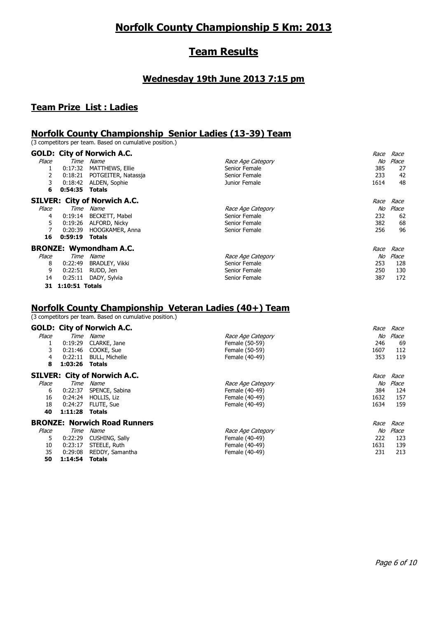## **Norfolk County Championship 5 Km: 2013**

## **Team Results**

#### **Wednesday 19th June 2013 7:15 pm**

#### **Team Prize List : Ladies**

#### **Norfolk County Championship Senior Ladies (13-39) Team**

(3 competitors per team. Based on cumulative position.)

|       |                | <b>GOLD: City of Norwich A.C.</b>   | <i>Race</i>             | Race  |
|-------|----------------|-------------------------------------|-------------------------|-------|
| Place | Time           | Name                                | No<br>Race Age Category | Place |
|       | 0:17:32        | <b>MATTHEWS, Ellie</b>              | Senior Female<br>385    | 27    |
| 2     | 0:18:21        | POTGEITER, Natassja                 | Senior Female<br>233    | 42    |
| 3     | 0:18:42        | ALDEN, Sophie                       | Junior Female<br>1614   | 48    |
| 6     | 0:54:35        | <b>Totals</b>                       |                         |       |
|       |                | <b>SILVER: City of Norwich A.C.</b> | <i>Race</i>             | Race  |
| Place | Time           | Name                                | No<br>Race Age Category | Place |
| 4     | 0:19:14        | <b>BECKETT, Mabel</b>               | 232<br>Senior Female    | 62    |
| 5     | 0:19:26        | ALFORD, Nicky                       | Senior Female<br>382    | 68    |
|       | 0:20:39        | HOOGKAMER, Anna                     | Senior Female<br>256    | 96    |
| 16    | 0:59:19        | Totals                              |                         |       |
|       |                | <b>BRONZE: Wymondham A.C.</b>       | Race                    | Race  |
| Place | Time           | Name                                | No<br>Race Age Category | Place |
| 8     | 0:22:49        | <b>BRADLEY, Vikki</b>               | Senior Female<br>253    | 128   |
| 9     | 0:22:51        | RUDD, Jen                           | Senior Female<br>250    | 130   |
| 14    | 0:25:11        | DADY, Sylvia                        | Senior Female<br>387    | 172   |
| 31    | 1:10:51 Totals |                                     |                         |       |

## **Norfolk County Championship Veteran Ladies (40+) Team**

(3 competitors per team. Based on cumulative position.)

#### **GOLD: City of Norwich A.C.** Race Race

| Place | Time    | Name                                | Race Age Category | No          | Place |
|-------|---------|-------------------------------------|-------------------|-------------|-------|
|       | 0:19:29 | CLARKE, Jane                        | Female (50-59)    | 246         | 69    |
| 3     | 0:21:46 | COOKE, Sue                          | Female (50-59)    | 1607        | 112   |
| 4     | 0:22:11 | <b>BULL, Michelle</b>               | Female (40-49)    | 353         | 119   |
| 8     | 1:03:26 | <b>Totals</b>                       |                   |             |       |
|       |         | <b>SILVER: City of Norwich A.C.</b> |                   | <i>Race</i> | Race  |
| Place | Time    | Name                                | Race Age Category | No          | Place |
| 6     | 0:22:37 | SPENCE, Sabina                      | Female (40-49)    | 384         | 124   |
| 16    | 0:24:24 | HOLLIS, Liz                         | Female (40-49)    | 1632        | 157   |
| 18    | 0:24:27 | FLUTE, Sue                          | Female (40-49)    | 1634        | 159   |
| 40    | 1:11:28 | <b>Totals</b>                       |                   |             |       |
|       |         | <b>BRONZE: Norwich Road Runners</b> |                   | Race        | Race  |
| Place | Time    | Name                                | Race Age Category | No          | Place |
| 5.    | 0:22:29 | CUSHING, Sally                      | Female (40-49)    | 222         | 123   |
| 10    | 0:23:17 | STEELE, Ruth                        | Female (40-49)    | 1631        | 139   |
| 35    | 0:29:08 | REDDY, Samantha                     | Female (40-49)    | 231         | 213   |
| 50    | 1:14:54 | Totals                              |                   |             |       |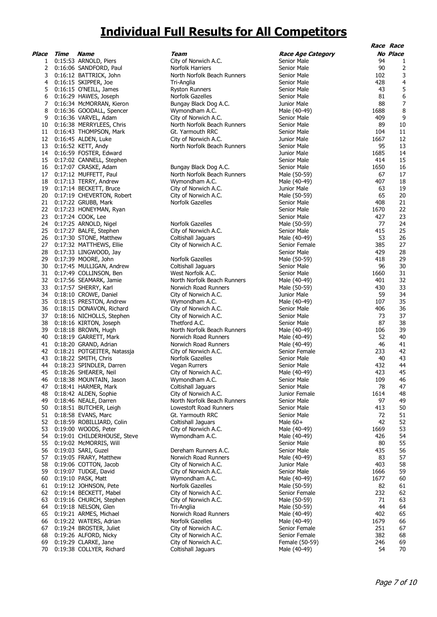# **Individual Full Results for All Competitors**

| Place    | Time               | Name                              |
|----------|--------------------|-----------------------------------|
| 1        | 0:15:53            | ARNOLD, Piers                     |
| 2        | 0:16:06            | SANDFORD, Paul                    |
| 3        | 0:16:12            | BATTRICK, John                    |
| 4        | 0:16:15            | SKIPPER, Joe                      |
| 5        | 0:16:15            | O'NEILL, James                    |
| 6        | 0:16:29            | HAWES, Joseph                     |
| 7        | 0:16:34            | McMORRAN, Kieron                  |
| 8        | 0:16:36            | GOODALL, Spencer                  |
| 9        | 0:16:36            | VARVEL, Adam                      |
| 10       | 0:16:38            | MERRYLEES, Chris                  |
| 11       |                    | THOMPSON, Mark                    |
| 12       | 0:16:43            |                                   |
|          | 0:16:45            | ALDEN, Luke                       |
| 13       | 0:16:52            | KETT, Andy                        |
| 14       | 0:16:59            | FOSTER, Edward                    |
| 15       | 0:17:02            | CANNELL, Stephen                  |
| 16       | 0:17:07            | CRASKE, Adam                      |
| 17       | 0:17:12            | MUFFETT, Paul                     |
| 18       | 0:17:13            | TERRY, Andrew                     |
| 19       | 0:17:14            | <b>BECKETT, Bruce</b>             |
| 20       | 0:17:19            | CHEVERTON, Robert                 |
| 21       | 0:17:22            | GRUBB, Mark                       |
| 22       | 0:17:23            | HONEYMAN, Ryan                    |
| 23       | 0:17:24            | COOK, Lee                         |
| 24       | 0:17:25            | ARNOLD, Nigel                     |
| 25       | 0:17:27            | BALFE, Stephen                    |
| 26       | 0:17:30            | STONE, Matthew                    |
| 27       | 0:17:32            | <b>MATTHEWS, Ellie</b>            |
| 28       | 0:17:33            | LINGWOOD, Jay                     |
| 29       | 0:17:39            | MOORE, John                       |
| 30       | 0:17:45            | MULLIGAN, Andrew                  |
| 31       | 0:17:49            | COLLINSON, Ben                    |
| 32       | 0:17:56            | SEAMARK, Jamie                    |
| 33       | 0:17:57            | SHERRY, Karl                      |
| 34       | 0:18:10            | CROWE, Daniel                     |
| 35       | 0:18:15            | PRESTON, Andrew                   |
| 36       | 0:18:15            | DONAVON, Richard                  |
| 37       | 0:18:16            | NICHOLLS, Stephen                 |
|          |                    |                                   |
| 38<br>39 | 0:18:16<br>0:18:18 | KIRTON, Joseph                    |
|          |                    | BROWN, Hugh                       |
| 40       | 0:18:19            | GARRETT, Mark                     |
| 41       | 0:18:20            | GRAND, Adrian                     |
| 42       | 0:18:21            | POTGEITER, Natassja               |
| 43       | 0:18:22            | SMITH, Chris                      |
| 44       | 0:18:23            | SPINDLER, Darren                  |
| 45       | 0:18:26            | SHEARER, Neil                     |
| 46       | 0:18:38            | MOUNTAIN, Jason                   |
| 47       | 0:18:41            | HARMER, Mark                      |
| 48       | 0:18:42            | ALDEN, Sophie                     |
| 49       | 0:18:46            | NEALE, Darren                     |
| 50       | 0:18:51            | <b>BUTCHER, Leigh</b>             |
| 51       | 0:18:58            | EVANS, Marc                       |
| 52       | 0:18:59            | ROBILLIARD, Colin                 |
| 53       | 0:19:00            | WOODS, Peter                      |
| 54       | 0:19:01            | CHILDERHOUSE, Steve               |
| 55       | 0:19:02            | McMORRIS, Will                    |
| 56       | 0:19:03            | SARI, Guzel                       |
| 57       | 0:19:05            | FRARY, Matthew                    |
| 58       | 0:19:06            | COTTON, Jacob                     |
| 59       | 0:19:07            | TUDGE, David                      |
| 60       | 0:19:10            | PASK, Matt                        |
| 61       | 0:19:12            | JOHNSON, Pete                     |
| 62       | 0:19:14            |                                   |
| 63       | 0:19:16            | BECKETT, Mabel<br>CHURCH, Stephen |
| 64       | 0:19:18            | NELSON, Glen                      |
| 65       | 0:19:21            | ARMES, Michael                    |
| 66       | 0:19:22            | WATERS, Adrian                    |
| 67       | 0:19:24            | BROSTER, Juliet                   |
| 68       | 0:19:26            | ALFORD, Nicky                     |
| 69       | 0:19:29            | CLARKE, Jane                      |
| 70       | 0:19:38            | COLLYER, Richard                  |
|          |                    |                                   |

|                |      |                             |                             |                          |      | Race Race      |
|----------------|------|-----------------------------|-----------------------------|--------------------------|------|----------------|
| Place          | Time | <b>Name</b>                 | Team                        | <b>Race Age Category</b> |      | No Place       |
| 1              |      | 0:15:53 ARNOLD, Piers       | City of Norwich A.C.        | Senior Male              | 94   | 1              |
|                |      | 2 0:16:06 SANDFORD, Paul    | <b>Norfolk Harriers</b>     | Senior Male              | 90   | $\overline{2}$ |
| 3              |      | 0:16:12 BATTRICK, John      | North Norfolk Beach Runners | Senior Male              | 102  | 3              |
| 4              |      | 0:16:15 SKIPPER, Joe        | Tri-Anglia                  | Senior Male              | 428  | 4              |
| 5              |      | 0:16:15 O'NEILL, James      | <b>Ryston Runners</b>       | Senior Male              | 43   | 5              |
| 6              |      | 0:16:29 HAWES, Joseph       | Norfolk Gazelles            | Senior Male              | 81   | 6              |
| $\overline{7}$ |      | 0:16:34 McMORRAN, Kieron    | Bungay Black Dog A.C.       | Junior Male              | 88   | 7              |
| 8              |      | 0:16:36 GOODALL, Spencer    | Wymondham A.C.              | Male (40-49)             | 1688 | 8              |
| 9              |      | 0:16:36 VARVEL, Adam        | City of Norwich A.C.        | Senior Male              | 409  | 9              |
| 10             |      | 0:16:38 MERRYLEES, Chris    | North Norfolk Beach Runners | Senior Male              | 89   | 10             |
| 11             |      | 0:16:43 THOMPSON, Mark      | Gt. Yarmouth RRC            | Senior Male              | 104  | 11             |
|                |      | 12 0:16:45 ALDEN, Luke      | City of Norwich A.C.        | Junior Male              | 1667 | 12             |
| 13             |      | $0:16:52$ KETT, Andy        | North Norfolk Beach Runners | Senior Male              | 95   | 13             |
| 14             |      | 0:16:59 FOSTER, Edward      |                             | Junior Male              | 1685 | 14             |
|                |      | 15 0:17:02 CANNELL, Stephen |                             | Senior Male              | 414  | 15             |
| 16             |      | 0:17:07 CRASKE, Adam        | Bungay Black Dog A.C.       | Senior Male              | 1650 | 16             |
|                |      | 17 0:17:12 MUFFETT, Paul    | North Norfolk Beach Runners | Male (50-59)             | 67   | 17             |
| 18             |      | 0:17:13 TERRY, Andrew       | Wymondham A.C.              | Male (40-49)             | 407  | 18             |
| 19             |      | 0:17:14 BECKETT, Bruce      | City of Norwich A.C.        | Junior Male              | 63   | 19             |
| 20             |      | 0:17:19 CHEVERTON, Robert   | City of Norwich A.C.        | Male (50-59)             | 65   | 20             |
| 21             |      | 0:17:22 GRUBB, Mark         | Norfolk Gazelles            | Senior Male              | 408  | 21             |
|                |      | 22 0:17:23 HONEYMAN, Ryan   |                             | Senior Male              | 1670 | 22             |
| 23             |      | 0:17:24 COOK, Lee           |                             | Senior Male              | 427  | 23             |
| 24             |      | 0:17:25 ARNOLD, Nigel       | Norfolk Gazelles            | Male (50-59)             | 77   | 24             |
| 25             |      | 0:17:27 BALFE, Stephen      | City of Norwich A.C.        | Senior Male              | 415  | 25             |
| 26             |      | 0:17:30 STONE, Matthew      | Coltishall Jaguars          | Male (40-49)             | 53   | 26             |
| 27             |      | 0:17:32 MATTHEWS, Ellie     | City of Norwich A.C.        | Senior Female            | 385  | 27             |
| 28             |      | 0:17:33 LINGWOOD, Jay       |                             | Senior Male              | 429  | 28             |
| 29             |      | 0:17:39 MOORE, John         | Norfolk Gazelles            | Male (50-59)             | 418  | 29             |
| 30             |      | 0:17:45 MULLIGAN, Andrew    | Coltishall Jaguars          | Senior Male              | 96   | 30             |
| 31             |      | 0:17:49 COLLINSON, Ben      | West Norfolk A.C.           | Senior Male              | 1660 | 31             |
| 32             |      | 0:17:56 SEAMARK, Jamie      | North Norfolk Beach Runners | Male (40-49)             | 401  | 32             |
| 33             |      | 0:17:57 SHERRY, Karl        | Norwich Road Runners        | Male (50-59)             | 430  | 33             |
| 34             |      | 0:18:10 CROWE, Daniel       | City of Norwich A.C.        | Junior Male              | 59   | 34             |
| 35             |      | 0:18:15 PRESTON, Andrew     | Wymondham A.C.              | Male (40-49)             | 107  | 35             |
| 36             |      | 0:18:15 DONAVON, Richard    | City of Norwich A.C.        | Senior Male              | 406  | 36             |
| 37             |      | 0:18:16 NICHOLLS, Stephen   | City of Norwich A.C.        | Senior Male              | 73   | 37             |
| 38             |      | 0:18:16 KIRTON, Joseph      | Thetford A.C.               | Senior Male              | 87   | 38             |
| 39             |      | 0:18:18 BROWN, Hugh         | North Norfolk Beach Runners | Male (40-49)             | 106  | 39             |
| 40             |      | 0:18:19 GARRETT, Mark       | Norwich Road Runners        | Male (40-49)             | 52   | 40             |
| 41             |      | 0:18:20 GRAND, Adrian       | Norwich Road Runners        | Male (40-49)             | 46   | 41             |
| 42             |      | 0:18:21 POTGEITER, Natassja | City of Norwich A.C.        | Senior Female            | 233  | 42             |
| 43             |      | 0:18:22 SMITH, Chris        | Norfolk Gazelles            | Senior Male              | 40   | 43             |
| 44             |      | 0:18:23 SPINDLER, Darren    | Vegan Rurrers               | Senior Male              | 432  | 44             |
|                |      | 45 0:18:26 SHEARER, Neil    | City of Norwich A.C.        | Male (40-49)             | 423  | 45             |
| 46             |      | 0:18:38 MOUNTAIN, Jason     | Wymondham A.C.              | Senior Male              | 109  | 46             |
| 47             |      | 0:18:41 HARMER, Mark        | Coltishall Jaguars          | Senior Male              | 78   | 47             |
| 48             |      | 0:18:42 ALDEN, Sophie       | City of Norwich A.C.        | Junior Female            | 1614 | 48             |
| 49             |      | 0:18:46 NEALE, Darren       | North Norfolk Beach Runners | Senior Male              | 97   | 49             |
| 50             |      | 0:18:51 BUTCHER, Leigh      | Lowestoft Road Runners      | Senior Male              | 413  | 50             |
| 51             |      | 0:18:58 EVANS, Marc         | Gt. Yarmouth RRC            | Senior Male              | 72   | 51             |
| 52             |      | 0:18:59 ROBILLIARD, Colin   | Coltishall Jaguars          | Male $60+$               | 42   | 52             |
| 53             |      | 0:19:00 WOODS, Peter        | City of Norwich A.C.        | Male (40-49)             | 1669 | 53             |
| 54             |      | 0:19:01 CHILDERHOUSE, Steve | Wymondham A.C.              | Male (40-49)             | 426  | 54             |
| 55             |      | 0:19:02 McMORRIS, Will      |                             | Senior Male              | 80   | 55             |
| 56             |      | 0:19:03 SARI, Guzel         | Dereham Runners A.C.        | Senior Male              | 435  | 56             |
| 57             |      | 0:19:05 FRARY, Matthew      | Norwich Road Runners        | Male (40-49)             | 83   | 57             |
| 58             |      | 0:19:06 COTTON, Jacob       | City of Norwich A.C.        | Junior Male              | 403  | 58             |
| 59             |      | 0:19:07 TUDGE, David        | City of Norwich A.C.        | Senior Male              | 1666 | 59             |
| 60             |      | 0:19:10 PASK, Matt          | Wymondham A.C.              | Male (40-49)             | 1677 | 60             |
| 61             |      | 0:19:12 JOHNSON, Pete       | Norfolk Gazelles            | Male (50-59)             | 82   | 61             |
| 62             |      | 0:19:14 BECKETT, Mabel      | City of Norwich A.C.        | Senior Female            | 232  | 62             |
| 63             |      | 0:19:16 CHURCH, Stephen     | City of Norwich A.C.        | Male (50-59)             | 71   | 63             |
| 64             |      | 0:19:18 NELSON, Glen        | Tri-Anglia                  | Male (50-59)             | 44   | 64             |
| 65             |      | 0:19:21 ARMES, Michael      | Norwich Road Runners        | Male (40-49)             | 402  | 65             |
| 66             |      | 0:19:22 WATERS, Adrian      | Norfolk Gazelles            | Male (40-49)             | 1679 | 66             |
| 67             |      | 0:19:24 BROSTER, Juliet     | City of Norwich A.C.        | Senior Female            | 251  | 67             |
| 68             |      | 0:19:26 ALFORD, Nicky       | City of Norwich A.C.        | Senior Female            | 382  | 68             |
| 69             |      | 0:19:29 CLARKE, Jane        | City of Norwich A.C.        | Female (50-59)           | 246  | 69             |
| 70             |      | 0:19:38 COLLYER, Richard    | Coltishall Jaguars          | Male (40-49)             | 54   | 70             |
|                |      |                             |                             |                          |      |                |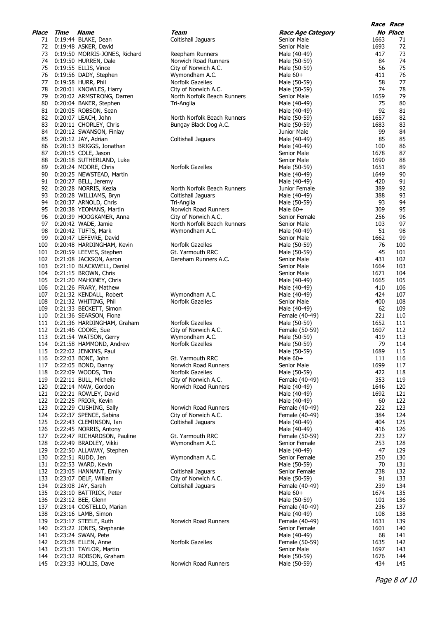|     | <b>Place Time Name</b> |                                  | Team                        | <b>Race Age Category</b> |      | No Place |
|-----|------------------------|----------------------------------|-----------------------------|--------------------------|------|----------|
|     |                        | 71 0:19:44 BLAKE, Dean           | Coltishall Jaguars          | Senior Male              | 1663 | 71       |
|     |                        | 72 0:19:48 ASKER, David          |                             | Senior Male              | 1693 | 72       |
|     |                        | 73 0:19:50 MORRIS-JONES, Richard | Reepham Runners             | Male (40-49)             | 417  | 73       |
|     |                        | 74 0:19:50 HURREN, Dale          | Norwich Road Runners        | Male (50-59)             | 84   | 74       |
|     |                        | 75 0:19:55 ELLIS, Vince          | City of Norwich A.C.        | Male (50-59)             | 56   | 75       |
|     |                        | 76 0:19:56 DADY, Stephen         | Wymondham A.C.              | Male $60+$               | 411  | 76       |
|     |                        | 77 0:19:58 HURR, Phil            | Norfolk Gazelles            | Male (50-59)             | 58   | 77       |
|     |                        | 78 0:20:01 KNOWLES, Harry        | City of Norwich A.C.        | Male (50-59)             | 74   | 78       |
|     |                        | 79 0:20:02 ARMSTRONG, Darren     | North Norfolk Beach Runners | Senior Male              | 1659 | 79       |
|     |                        | 80 0:20:04 BAKER, Stephen        | Tri-Anglia                  | Male (40-49)             | 75   | 80       |
|     |                        | 81 0:20:05 ROBSON, Sean          |                             |                          | 92   | 81       |
|     |                        |                                  |                             | Male (40-49)             |      |          |
|     |                        | 82 0:20:07 LEACH, John           | North Norfolk Beach Runners | Male (50-59)             | 1657 | 82       |
|     |                        | 83 0:20:11 CHORLEY, Chris        | Bungay Black Dog A.C.       | Male (50-59)             | 1683 | 83       |
|     |                        | 84 0:20:12 SWANSON, Finlay       |                             | Junior Male              | 99   | 84       |
|     |                        | 85 0:20:12 JAY, Adrian           | Coltishall Jaguars          | Male (40-49)             | 85   | 85       |
|     |                        | 86 0:20:13 BRIGGS, Jonathan      |                             | Male (40-49)             | 100  | 86       |
|     |                        | 87 0:20:15 COLE, Jason           |                             | Senior Male              | 1678 | 87       |
|     |                        | 88 0:20:18 SUTHERLAND, Luke      |                             | Senior Male              | 1690 | 88       |
| 89  |                        | 0:20:24 MOORE, Chris             | Norfolk Gazelles            | Male (50-59)             | 1651 | 89       |
|     |                        | 90 0:20:25 NEWSTEAD, Martin      |                             | Male (40-49)             | 1649 | 90       |
|     |                        | 91 0:20:27 BELL, Jeremy          |                             | Male (40-49)             | 420  | 91       |
| 92  |                        | 0:20:28 NORRIS, Kezia            | North Norfolk Beach Runners | Junior Female            | 389  | 92       |
|     |                        | 93 0:20:28 WILLIAMS, Bryn        | Coltishall Jaguars          | Male (40-49)             | 388  | 93       |
| 94  |                        | 0:20:37 ARNOLD, Chris            | Tri-Anglia                  | Male (50-59)             | 93   | 94       |
|     |                        | 95 0:20:38 YEOMANS, Martin       | Norwich Road Runners        | Male $60+$               | 309  | 95       |
|     |                        | 96 0:20:39 HOOGKAMER, Anna       | City of Norwich A.C.        | Senior Female            | 256  | 96       |
| 97  |                        | 0:20:42 WADE, Jamie              | North Norfolk Beach Runners | Senior Male              | 103  | 97       |
| 98  |                        | 0:20:42 TUFTS, Mark              | Wymondham A.C.              | Male (40-49)             | 51   | 98       |
|     |                        | 99 0:20:47 LEFEVRE, David        |                             | Senior Male              | 1662 | 99       |
|     |                        | 100 0:20:48 HARDINGHAM, Kevin    | Norfolk Gazelles            | Male (50-59)             | 76   | 100      |
|     |                        | 101 0:20:59 LEEVES, Stephen      | Gt. Yarmouth RRC            | Male (50-59)             | 45   | 101      |
|     |                        | 102 0:21:08 JACKSON, Aaron       | Dereham Runners A.C.        | Senior Male              | 431  | 102      |
|     |                        | 103 0:21:10 BLACKWELL, Daniel    |                             | Senior Male              | 1664 | 103      |
|     |                        | 104 0:21:15 BROWN, Chris         |                             | Senior Male              | 1671 | 104      |
|     |                        | 105 0:21:20 MAHONEY, Chris       |                             |                          | 1665 | 105      |
|     |                        |                                  |                             | Male (40-49)             | 410  |          |
|     |                        | 106 0:21:26 FRARY, Mathew        |                             | Male (40-49)             |      | 106      |
|     |                        | 107 0:21:32 KENDALL, Robert      | Wymondham A.C.              | Male (40-49)             | 424  | 107      |
|     |                        | 108 0:21:32 WHITING, Phil        | Norfolk Gazelles            | Senior Male              | 400  | 108      |
|     |                        | 109 0:21:33 BECKETT, Simon       |                             | Male (40-49)             | 62   | 109      |
|     |                        | 110 0:21:36 SEARSON, Fiona       |                             | Female (40-49)           | 221  | 110      |
|     |                        | 111 0:21:36 HARDINGHAM, Graham   | Norfolk Gazelles            | Male (50-59)             | 1652 | 111      |
|     |                        | 112 0:21:46 COOKE, Sue           | City of Norwich A.C.        | Female (50-59)           | 1607 | 112      |
|     |                        | 113 0:21:54 WATSON, Gerry        | Wymondham A.C.              | Male (50-59)             | 419  | 113      |
|     |                        | 114 0:21:58 HAMMOND, Andrew      | Norfolk Gazelles            | Male (50-59)             | 79   | 114      |
| 115 |                        | 0:22:02 JENKINS, Paul            |                             | Male (50-59)             | 1689 | 115      |
|     |                        | 116 0:22:03 BONE, John           | Gt. Yarmouth RRC            | Male 60+                 | 111  | 116      |
|     |                        | 117 0:22:05 BOND, Danny          | Norwich Road Runners        | Senior Male              | 1699 | 117      |
|     |                        | 118 0:22:09 WOODS, Tim           | Norfolk Gazelles            | Male (50-59)             | 422  | 118      |
|     |                        | 119 0:22:11 BULL, Michelle       | City of Norwich A.C.        | Female (40-49)           | 353  | 119      |
|     |                        | 120 0:22:14 MAW, Gordon          | Norwich Road Runners        | Male (40-49)             | 1646 | 120      |
|     |                        | 121 0:22:21 ROWLEY, David        |                             | Male (40-49)             | 1692 | 121      |
|     |                        | 122 0:22:25 PRIOR, Kevin         |                             | Male (40-49)             | 60   | 122      |
| 123 |                        | 0:22:29 CUSHING, Sally           | Norwich Road Runners        | Female (40-49)           | 222  | 123      |
| 124 |                        | 0:22:37 SPENCE, Sabina           | City of Norwich A.C.        | Female (40-49)           | 384  | 124      |
| 125 |                        | 0:22:43 CLEMINSON, Ian           | Coltishall Jaguars          | Male (40-49)             | 404  | 125      |
| 126 |                        | 0:22:45 NORRIS, Antony           |                             | Male (40-49)             | 416  | 126      |
|     |                        | 127 0:22:47 RICHARDSON, Pauline  | Gt. Yarmouth RRC            | Female (50-59)           | 223  | 127      |
| 128 |                        | 0:22:49 BRADLEY, Vikki           | Wymondham A.C.              | Senior Female            | 253  | 128      |
| 129 |                        | 0:22:50 ALLAWAY, Stephen         |                             | Male (40-49)             | 47   | 129      |
| 130 |                        | 0:22:51 RUDD, Jen                | Wymondham A.C.              | Senior Female            | 250  | 130      |
|     |                        | 131 0:22:53 WARD, Kevin          |                             | Male (50-59)             | 70   | 131      |
| 132 |                        | 0:23:05 HANNANT, Emily           | <b>Coltishall Jaguars</b>   | Senior Female            | 238  | 132      |
| 133 |                        | 0:23:07 DELF, William            | City of Norwich A.C.        | Male (50-59)             | 91   | 133      |
| 134 |                        |                                  | Coltishall Jaguars          |                          | 239  | 134      |
|     |                        | 0:23:08 JAY, Sarah               |                             | Female (40-49)           |      |          |
| 135 |                        | 0:23:10 BATTRICK, Peter          |                             | Male $60+$               | 1674 | 135      |
|     |                        | 136 0:23:12 BEE, Glenn           |                             | Male (50-59)             | 101  | 136      |
| 137 |                        | 0:23:14 COSTELLO, Marian         |                             | Female (40-49)           | 236  | 137      |
| 138 |                        | 0:23:16 LAMB, Simon              |                             | Male (40-49)             | 108  | 138      |
| 139 |                        | 0:23:17 STEELE, Ruth             | Norwich Road Runners        | Female (40-49)           | 1631 | 139      |
| 140 |                        | 0:23:22 JONES, Stephanie         |                             | Senior Female            | 1601 | 140      |
| 141 |                        | 0:23:24 SWAN, Pete               |                             | Male (40-49)             | 68   | 141      |
| 142 |                        | 0:23:28 ELLEN, Anne              | Norfolk Gazelles            | Female (50-59)           | 1635 | 142      |
| 143 |                        | 0:23:31 TAYLOR, Martin           |                             | Senior Male              | 1697 | 143      |
| 144 |                        | 0:23:32 ROBSON, Graham           |                             | Male (50-59)             | 1676 | 144      |
| 145 |                        | 0:23:33 HOLLIS, Dave             | Norwich Road Runners        | Male (50-59)             | 434  | 145      |
|     |                        |                                  |                             |                          |      |          |

**Race Race**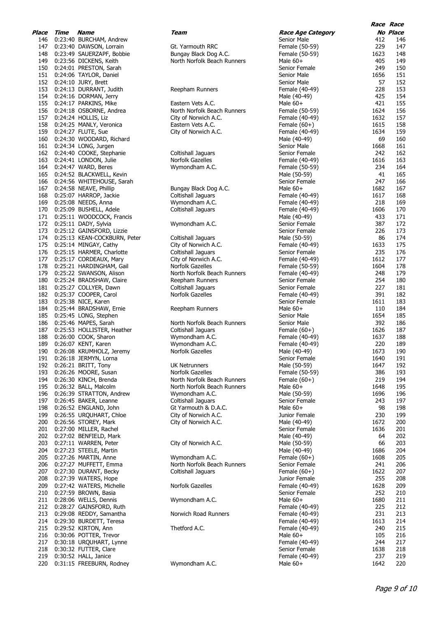| Time | Name                     | Team                                                                                                                                                                                                                                                                                                                                                                                                                                                                                                                                                                                                                                                                                                                                                                                                                                                                                                                                                                                                                                                                                                                                                                                                                                                                                                                                                                                                                                                                                                                                                                                                                                                                                                                                                                                                                                                                                                                                                                                 |
|------|--------------------------|--------------------------------------------------------------------------------------------------------------------------------------------------------------------------------------------------------------------------------------------------------------------------------------------------------------------------------------------------------------------------------------------------------------------------------------------------------------------------------------------------------------------------------------------------------------------------------------------------------------------------------------------------------------------------------------------------------------------------------------------------------------------------------------------------------------------------------------------------------------------------------------------------------------------------------------------------------------------------------------------------------------------------------------------------------------------------------------------------------------------------------------------------------------------------------------------------------------------------------------------------------------------------------------------------------------------------------------------------------------------------------------------------------------------------------------------------------------------------------------------------------------------------------------------------------------------------------------------------------------------------------------------------------------------------------------------------------------------------------------------------------------------------------------------------------------------------------------------------------------------------------------------------------------------------------------------------------------------------------------|
|      |                          |                                                                                                                                                                                                                                                                                                                                                                                                                                                                                                                                                                                                                                                                                                                                                                                                                                                                                                                                                                                                                                                                                                                                                                                                                                                                                                                                                                                                                                                                                                                                                                                                                                                                                                                                                                                                                                                                                                                                                                                      |
|      |                          | Gt. Yarmouth RRC                                                                                                                                                                                                                                                                                                                                                                                                                                                                                                                                                                                                                                                                                                                                                                                                                                                                                                                                                                                                                                                                                                                                                                                                                                                                                                                                                                                                                                                                                                                                                                                                                                                                                                                                                                                                                                                                                                                                                                     |
|      |                          | Bungay Black Dog A.C.                                                                                                                                                                                                                                                                                                                                                                                                                                                                                                                                                                                                                                                                                                                                                                                                                                                                                                                                                                                                                                                                                                                                                                                                                                                                                                                                                                                                                                                                                                                                                                                                                                                                                                                                                                                                                                                                                                                                                                |
|      |                          | North Norfolk Beach Runners                                                                                                                                                                                                                                                                                                                                                                                                                                                                                                                                                                                                                                                                                                                                                                                                                                                                                                                                                                                                                                                                                                                                                                                                                                                                                                                                                                                                                                                                                                                                                                                                                                                                                                                                                                                                                                                                                                                                                          |
|      |                          |                                                                                                                                                                                                                                                                                                                                                                                                                                                                                                                                                                                                                                                                                                                                                                                                                                                                                                                                                                                                                                                                                                                                                                                                                                                                                                                                                                                                                                                                                                                                                                                                                                                                                                                                                                                                                                                                                                                                                                                      |
|      |                          |                                                                                                                                                                                                                                                                                                                                                                                                                                                                                                                                                                                                                                                                                                                                                                                                                                                                                                                                                                                                                                                                                                                                                                                                                                                                                                                                                                                                                                                                                                                                                                                                                                                                                                                                                                                                                                                                                                                                                                                      |
|      |                          | Reepham Runners                                                                                                                                                                                                                                                                                                                                                                                                                                                                                                                                                                                                                                                                                                                                                                                                                                                                                                                                                                                                                                                                                                                                                                                                                                                                                                                                                                                                                                                                                                                                                                                                                                                                                                                                                                                                                                                                                                                                                                      |
|      |                          |                                                                                                                                                                                                                                                                                                                                                                                                                                                                                                                                                                                                                                                                                                                                                                                                                                                                                                                                                                                                                                                                                                                                                                                                                                                                                                                                                                                                                                                                                                                                                                                                                                                                                                                                                                                                                                                                                                                                                                                      |
|      |                          | Eastern Vets A.C.                                                                                                                                                                                                                                                                                                                                                                                                                                                                                                                                                                                                                                                                                                                                                                                                                                                                                                                                                                                                                                                                                                                                                                                                                                                                                                                                                                                                                                                                                                                                                                                                                                                                                                                                                                                                                                                                                                                                                                    |
|      |                          | North Norfolk Beach Runners                                                                                                                                                                                                                                                                                                                                                                                                                                                                                                                                                                                                                                                                                                                                                                                                                                                                                                                                                                                                                                                                                                                                                                                                                                                                                                                                                                                                                                                                                                                                                                                                                                                                                                                                                                                                                                                                                                                                                          |
|      |                          | City of Norwich A.C.                                                                                                                                                                                                                                                                                                                                                                                                                                                                                                                                                                                                                                                                                                                                                                                                                                                                                                                                                                                                                                                                                                                                                                                                                                                                                                                                                                                                                                                                                                                                                                                                                                                                                                                                                                                                                                                                                                                                                                 |
|      |                          | Eastern Vets A.C.                                                                                                                                                                                                                                                                                                                                                                                                                                                                                                                                                                                                                                                                                                                                                                                                                                                                                                                                                                                                                                                                                                                                                                                                                                                                                                                                                                                                                                                                                                                                                                                                                                                                                                                                                                                                                                                                                                                                                                    |
|      |                          | City of Norwich A.C.                                                                                                                                                                                                                                                                                                                                                                                                                                                                                                                                                                                                                                                                                                                                                                                                                                                                                                                                                                                                                                                                                                                                                                                                                                                                                                                                                                                                                                                                                                                                                                                                                                                                                                                                                                                                                                                                                                                                                                 |
|      |                          |                                                                                                                                                                                                                                                                                                                                                                                                                                                                                                                                                                                                                                                                                                                                                                                                                                                                                                                                                                                                                                                                                                                                                                                                                                                                                                                                                                                                                                                                                                                                                                                                                                                                                                                                                                                                                                                                                                                                                                                      |
|      |                          |                                                                                                                                                                                                                                                                                                                                                                                                                                                                                                                                                                                                                                                                                                                                                                                                                                                                                                                                                                                                                                                                                                                                                                                                                                                                                                                                                                                                                                                                                                                                                                                                                                                                                                                                                                                                                                                                                                                                                                                      |
|      |                          | Coltishall Jaguars                                                                                                                                                                                                                                                                                                                                                                                                                                                                                                                                                                                                                                                                                                                                                                                                                                                                                                                                                                                                                                                                                                                                                                                                                                                                                                                                                                                                                                                                                                                                                                                                                                                                                                                                                                                                                                                                                                                                                                   |
|      |                          | Norfolk Gazelles                                                                                                                                                                                                                                                                                                                                                                                                                                                                                                                                                                                                                                                                                                                                                                                                                                                                                                                                                                                                                                                                                                                                                                                                                                                                                                                                                                                                                                                                                                                                                                                                                                                                                                                                                                                                                                                                                                                                                                     |
|      |                          | Wymondham A.C.                                                                                                                                                                                                                                                                                                                                                                                                                                                                                                                                                                                                                                                                                                                                                                                                                                                                                                                                                                                                                                                                                                                                                                                                                                                                                                                                                                                                                                                                                                                                                                                                                                                                                                                                                                                                                                                                                                                                                                       |
|      |                          |                                                                                                                                                                                                                                                                                                                                                                                                                                                                                                                                                                                                                                                                                                                                                                                                                                                                                                                                                                                                                                                                                                                                                                                                                                                                                                                                                                                                                                                                                                                                                                                                                                                                                                                                                                                                                                                                                                                                                                                      |
|      |                          | Bungay Black Dog A.C.                                                                                                                                                                                                                                                                                                                                                                                                                                                                                                                                                                                                                                                                                                                                                                                                                                                                                                                                                                                                                                                                                                                                                                                                                                                                                                                                                                                                                                                                                                                                                                                                                                                                                                                                                                                                                                                                                                                                                                |
|      |                          | Coltishall Jaguars                                                                                                                                                                                                                                                                                                                                                                                                                                                                                                                                                                                                                                                                                                                                                                                                                                                                                                                                                                                                                                                                                                                                                                                                                                                                                                                                                                                                                                                                                                                                                                                                                                                                                                                                                                                                                                                                                                                                                                   |
|      |                          | Wymondham A.C.                                                                                                                                                                                                                                                                                                                                                                                                                                                                                                                                                                                                                                                                                                                                                                                                                                                                                                                                                                                                                                                                                                                                                                                                                                                                                                                                                                                                                                                                                                                                                                                                                                                                                                                                                                                                                                                                                                                                                                       |
|      |                          | Coltishall Jaguars                                                                                                                                                                                                                                                                                                                                                                                                                                                                                                                                                                                                                                                                                                                                                                                                                                                                                                                                                                                                                                                                                                                                                                                                                                                                                                                                                                                                                                                                                                                                                                                                                                                                                                                                                                                                                                                                                                                                                                   |
|      |                          |                                                                                                                                                                                                                                                                                                                                                                                                                                                                                                                                                                                                                                                                                                                                                                                                                                                                                                                                                                                                                                                                                                                                                                                                                                                                                                                                                                                                                                                                                                                                                                                                                                                                                                                                                                                                                                                                                                                                                                                      |
|      |                          | Wymondham A.C.                                                                                                                                                                                                                                                                                                                                                                                                                                                                                                                                                                                                                                                                                                                                                                                                                                                                                                                                                                                                                                                                                                                                                                                                                                                                                                                                                                                                                                                                                                                                                                                                                                                                                                                                                                                                                                                                                                                                                                       |
|      |                          |                                                                                                                                                                                                                                                                                                                                                                                                                                                                                                                                                                                                                                                                                                                                                                                                                                                                                                                                                                                                                                                                                                                                                                                                                                                                                                                                                                                                                                                                                                                                                                                                                                                                                                                                                                                                                                                                                                                                                                                      |
|      |                          | Coltishall Jaguars                                                                                                                                                                                                                                                                                                                                                                                                                                                                                                                                                                                                                                                                                                                                                                                                                                                                                                                                                                                                                                                                                                                                                                                                                                                                                                                                                                                                                                                                                                                                                                                                                                                                                                                                                                                                                                                                                                                                                                   |
|      |                          | City of Norwich A.C.                                                                                                                                                                                                                                                                                                                                                                                                                                                                                                                                                                                                                                                                                                                                                                                                                                                                                                                                                                                                                                                                                                                                                                                                                                                                                                                                                                                                                                                                                                                                                                                                                                                                                                                                                                                                                                                                                                                                                                 |
|      |                          | Coltishall Jaguars                                                                                                                                                                                                                                                                                                                                                                                                                                                                                                                                                                                                                                                                                                                                                                                                                                                                                                                                                                                                                                                                                                                                                                                                                                                                                                                                                                                                                                                                                                                                                                                                                                                                                                                                                                                                                                                                                                                                                                   |
|      |                          | City of Norwich A.C.<br>Norfolk Gazelles                                                                                                                                                                                                                                                                                                                                                                                                                                                                                                                                                                                                                                                                                                                                                                                                                                                                                                                                                                                                                                                                                                                                                                                                                                                                                                                                                                                                                                                                                                                                                                                                                                                                                                                                                                                                                                                                                                                                             |
|      |                          | North Norfolk Beach Runners                                                                                                                                                                                                                                                                                                                                                                                                                                                                                                                                                                                                                                                                                                                                                                                                                                                                                                                                                                                                                                                                                                                                                                                                                                                                                                                                                                                                                                                                                                                                                                                                                                                                                                                                                                                                                                                                                                                                                          |
|      |                          | Reepham Runners                                                                                                                                                                                                                                                                                                                                                                                                                                                                                                                                                                                                                                                                                                                                                                                                                                                                                                                                                                                                                                                                                                                                                                                                                                                                                                                                                                                                                                                                                                                                                                                                                                                                                                                                                                                                                                                                                                                                                                      |
|      |                          | Coltishall Jaguars                                                                                                                                                                                                                                                                                                                                                                                                                                                                                                                                                                                                                                                                                                                                                                                                                                                                                                                                                                                                                                                                                                                                                                                                                                                                                                                                                                                                                                                                                                                                                                                                                                                                                                                                                                                                                                                                                                                                                                   |
|      |                          | Norfolk Gazelles                                                                                                                                                                                                                                                                                                                                                                                                                                                                                                                                                                                                                                                                                                                                                                                                                                                                                                                                                                                                                                                                                                                                                                                                                                                                                                                                                                                                                                                                                                                                                                                                                                                                                                                                                                                                                                                                                                                                                                     |
|      |                          |                                                                                                                                                                                                                                                                                                                                                                                                                                                                                                                                                                                                                                                                                                                                                                                                                                                                                                                                                                                                                                                                                                                                                                                                                                                                                                                                                                                                                                                                                                                                                                                                                                                                                                                                                                                                                                                                                                                                                                                      |
|      |                          | Reepham Runners                                                                                                                                                                                                                                                                                                                                                                                                                                                                                                                                                                                                                                                                                                                                                                                                                                                                                                                                                                                                                                                                                                                                                                                                                                                                                                                                                                                                                                                                                                                                                                                                                                                                                                                                                                                                                                                                                                                                                                      |
|      |                          |                                                                                                                                                                                                                                                                                                                                                                                                                                                                                                                                                                                                                                                                                                                                                                                                                                                                                                                                                                                                                                                                                                                                                                                                                                                                                                                                                                                                                                                                                                                                                                                                                                                                                                                                                                                                                                                                                                                                                                                      |
|      |                          | North Norfolk Beach Runners                                                                                                                                                                                                                                                                                                                                                                                                                                                                                                                                                                                                                                                                                                                                                                                                                                                                                                                                                                                                                                                                                                                                                                                                                                                                                                                                                                                                                                                                                                                                                                                                                                                                                                                                                                                                                                                                                                                                                          |
|      |                          | Coltishall Jaguars                                                                                                                                                                                                                                                                                                                                                                                                                                                                                                                                                                                                                                                                                                                                                                                                                                                                                                                                                                                                                                                                                                                                                                                                                                                                                                                                                                                                                                                                                                                                                                                                                                                                                                                                                                                                                                                                                                                                                                   |
|      |                          | Wymondham A.C.                                                                                                                                                                                                                                                                                                                                                                                                                                                                                                                                                                                                                                                                                                                                                                                                                                                                                                                                                                                                                                                                                                                                                                                                                                                                                                                                                                                                                                                                                                                                                                                                                                                                                                                                                                                                                                                                                                                                                                       |
|      |                          | Wymondham A.C.<br>Norfolk Gazelles                                                                                                                                                                                                                                                                                                                                                                                                                                                                                                                                                                                                                                                                                                                                                                                                                                                                                                                                                                                                                                                                                                                                                                                                                                                                                                                                                                                                                                                                                                                                                                                                                                                                                                                                                                                                                                                                                                                                                   |
|      |                          |                                                                                                                                                                                                                                                                                                                                                                                                                                                                                                                                                                                                                                                                                                                                                                                                                                                                                                                                                                                                                                                                                                                                                                                                                                                                                                                                                                                                                                                                                                                                                                                                                                                                                                                                                                                                                                                                                                                                                                                      |
|      |                          | UK Netrunners                                                                                                                                                                                                                                                                                                                                                                                                                                                                                                                                                                                                                                                                                                                                                                                                                                                                                                                                                                                                                                                                                                                                                                                                                                                                                                                                                                                                                                                                                                                                                                                                                                                                                                                                                                                                                                                                                                                                                                        |
|      |                          | Norfolk Gazelles                                                                                                                                                                                                                                                                                                                                                                                                                                                                                                                                                                                                                                                                                                                                                                                                                                                                                                                                                                                                                                                                                                                                                                                                                                                                                                                                                                                                                                                                                                                                                                                                                                                                                                                                                                                                                                                                                                                                                                     |
|      |                          | North Norfolk Beach Runners                                                                                                                                                                                                                                                                                                                                                                                                                                                                                                                                                                                                                                                                                                                                                                                                                                                                                                                                                                                                                                                                                                                                                                                                                                                                                                                                                                                                                                                                                                                                                                                                                                                                                                                                                                                                                                                                                                                                                          |
|      |                          | North Norfolk Beach Runners                                                                                                                                                                                                                                                                                                                                                                                                                                                                                                                                                                                                                                                                                                                                                                                                                                                                                                                                                                                                                                                                                                                                                                                                                                                                                                                                                                                                                                                                                                                                                                                                                                                                                                                                                                                                                                                                                                                                                          |
|      |                          | Wymondham A.C.                                                                                                                                                                                                                                                                                                                                                                                                                                                                                                                                                                                                                                                                                                                                                                                                                                                                                                                                                                                                                                                                                                                                                                                                                                                                                                                                                                                                                                                                                                                                                                                                                                                                                                                                                                                                                                                                                                                                                                       |
|      |                          | Coltishall Jaguars                                                                                                                                                                                                                                                                                                                                                                                                                                                                                                                                                                                                                                                                                                                                                                                                                                                                                                                                                                                                                                                                                                                                                                                                                                                                                                                                                                                                                                                                                                                                                                                                                                                                                                                                                                                                                                                                                                                                                                   |
|      |                          | Gt Yarmouth & D.A.C.                                                                                                                                                                                                                                                                                                                                                                                                                                                                                                                                                                                                                                                                                                                                                                                                                                                                                                                                                                                                                                                                                                                                                                                                                                                                                                                                                                                                                                                                                                                                                                                                                                                                                                                                                                                                                                                                                                                                                                 |
|      |                          | City of Norwich A.C.                                                                                                                                                                                                                                                                                                                                                                                                                                                                                                                                                                                                                                                                                                                                                                                                                                                                                                                                                                                                                                                                                                                                                                                                                                                                                                                                                                                                                                                                                                                                                                                                                                                                                                                                                                                                                                                                                                                                                                 |
|      |                          | City of Norwich A.C.                                                                                                                                                                                                                                                                                                                                                                                                                                                                                                                                                                                                                                                                                                                                                                                                                                                                                                                                                                                                                                                                                                                                                                                                                                                                                                                                                                                                                                                                                                                                                                                                                                                                                                                                                                                                                                                                                                                                                                 |
|      |                          |                                                                                                                                                                                                                                                                                                                                                                                                                                                                                                                                                                                                                                                                                                                                                                                                                                                                                                                                                                                                                                                                                                                                                                                                                                                                                                                                                                                                                                                                                                                                                                                                                                                                                                                                                                                                                                                                                                                                                                                      |
|      |                          | City of Norwich A.C.                                                                                                                                                                                                                                                                                                                                                                                                                                                                                                                                                                                                                                                                                                                                                                                                                                                                                                                                                                                                                                                                                                                                                                                                                                                                                                                                                                                                                                                                                                                                                                                                                                                                                                                                                                                                                                                                                                                                                                 |
|      |                          |                                                                                                                                                                                                                                                                                                                                                                                                                                                                                                                                                                                                                                                                                                                                                                                                                                                                                                                                                                                                                                                                                                                                                                                                                                                                                                                                                                                                                                                                                                                                                                                                                                                                                                                                                                                                                                                                                                                                                                                      |
|      |                          | Wymondham A.C.                                                                                                                                                                                                                                                                                                                                                                                                                                                                                                                                                                                                                                                                                                                                                                                                                                                                                                                                                                                                                                                                                                                                                                                                                                                                                                                                                                                                                                                                                                                                                                                                                                                                                                                                                                                                                                                                                                                                                                       |
|      |                          | North Norfolk Beach Runners                                                                                                                                                                                                                                                                                                                                                                                                                                                                                                                                                                                                                                                                                                                                                                                                                                                                                                                                                                                                                                                                                                                                                                                                                                                                                                                                                                                                                                                                                                                                                                                                                                                                                                                                                                                                                                                                                                                                                          |
|      |                          | Coltishall Jaguars                                                                                                                                                                                                                                                                                                                                                                                                                                                                                                                                                                                                                                                                                                                                                                                                                                                                                                                                                                                                                                                                                                                                                                                                                                                                                                                                                                                                                                                                                                                                                                                                                                                                                                                                                                                                                                                                                                                                                                   |
|      |                          |                                                                                                                                                                                                                                                                                                                                                                                                                                                                                                                                                                                                                                                                                                                                                                                                                                                                                                                                                                                                                                                                                                                                                                                                                                                                                                                                                                                                                                                                                                                                                                                                                                                                                                                                                                                                                                                                                                                                                                                      |
|      |                          | Norfolk Gazelles                                                                                                                                                                                                                                                                                                                                                                                                                                                                                                                                                                                                                                                                                                                                                                                                                                                                                                                                                                                                                                                                                                                                                                                                                                                                                                                                                                                                                                                                                                                                                                                                                                                                                                                                                                                                                                                                                                                                                                     |
|      |                          |                                                                                                                                                                                                                                                                                                                                                                                                                                                                                                                                                                                                                                                                                                                                                                                                                                                                                                                                                                                                                                                                                                                                                                                                                                                                                                                                                                                                                                                                                                                                                                                                                                                                                                                                                                                                                                                                                                                                                                                      |
|      |                          | Wymondham A.C.                                                                                                                                                                                                                                                                                                                                                                                                                                                                                                                                                                                                                                                                                                                                                                                                                                                                                                                                                                                                                                                                                                                                                                                                                                                                                                                                                                                                                                                                                                                                                                                                                                                                                                                                                                                                                                                                                                                                                                       |
|      |                          |                                                                                                                                                                                                                                                                                                                                                                                                                                                                                                                                                                                                                                                                                                                                                                                                                                                                                                                                                                                                                                                                                                                                                                                                                                                                                                                                                                                                                                                                                                                                                                                                                                                                                                                                                                                                                                                                                                                                                                                      |
|      |                          | Norwich Road Runners                                                                                                                                                                                                                                                                                                                                                                                                                                                                                                                                                                                                                                                                                                                                                                                                                                                                                                                                                                                                                                                                                                                                                                                                                                                                                                                                                                                                                                                                                                                                                                                                                                                                                                                                                                                                                                                                                                                                                                 |
|      |                          |                                                                                                                                                                                                                                                                                                                                                                                                                                                                                                                                                                                                                                                                                                                                                                                                                                                                                                                                                                                                                                                                                                                                                                                                                                                                                                                                                                                                                                                                                                                                                                                                                                                                                                                                                                                                                                                                                                                                                                                      |
|      |                          | Thetford A.C.                                                                                                                                                                                                                                                                                                                                                                                                                                                                                                                                                                                                                                                                                                                                                                                                                                                                                                                                                                                                                                                                                                                                                                                                                                                                                                                                                                                                                                                                                                                                                                                                                                                                                                                                                                                                                                                                                                                                                                        |
|      |                          |                                                                                                                                                                                                                                                                                                                                                                                                                                                                                                                                                                                                                                                                                                                                                                                                                                                                                                                                                                                                                                                                                                                                                                                                                                                                                                                                                                                                                                                                                                                                                                                                                                                                                                                                                                                                                                                                                                                                                                                      |
|      |                          |                                                                                                                                                                                                                                                                                                                                                                                                                                                                                                                                                                                                                                                                                                                                                                                                                                                                                                                                                                                                                                                                                                                                                                                                                                                                                                                                                                                                                                                                                                                                                                                                                                                                                                                                                                                                                                                                                                                                                                                      |
|      |                          |                                                                                                                                                                                                                                                                                                                                                                                                                                                                                                                                                                                                                                                                                                                                                                                                                                                                                                                                                                                                                                                                                                                                                                                                                                                                                                                                                                                                                                                                                                                                                                                                                                                                                                                                                                                                                                                                                                                                                                                      |
|      | 0:31:15 FREEBURN, Rodney | Wymondham A.C.                                                                                                                                                                                                                                                                                                                                                                                                                                                                                                                                                                                                                                                                                                                                                                                                                                                                                                                                                                                                                                                                                                                                                                                                                                                                                                                                                                                                                                                                                                                                                                                                                                                                                                                                                                                                                                                                                                                                                                       |
|      | 189<br>191               | 0:23:40 BURCHAM, Andrew<br>0:23:40 DAWSON, Lorrain<br>0:23:49 SAUERZAPF, Bobbie<br>0:23:56 DICKENS, Keith<br>0:24:01 PRESTON, Sarah<br>0:24:06 TAYLOR, Daniel<br>0:24:10 JURY, Brett<br>0:24:13 DURRANT, Judith<br>0:24:16 DORMAN, Jerry<br>0:24:17 PARKINS, Mike<br>0:24:18 OSBORNE, Andrea<br>0:24:24 HOLLIS, Liz<br>0:24:25 MANLY, Veronica<br>0:24:27 FLUTE, Sue<br>0:24:30 WOODARD, Richard<br>0:24:34 LONG, Jurgen<br>0:24:40 COOKE, Stephanie<br>0:24:41 LONDON, Julie<br>0:24:47 WARD, Beres<br>0:24:52 BLACKWELL, Kevin<br>0:24:56 WHITEHOUSE, Sarah<br>0:24:58 NEAVE, Phillip<br>0:25:07 HARROP, Jackie<br>0:25:08 NEEDS, Anna<br>0:25:09 BUSHELL, Adele<br>0:25:11 WOODCOCK, Francis<br>0:25:11 DADY, Sylvia<br>0:25:12 GAINSFORD, Lizzie<br>0:25:13 KEAN-COCKBURN, Peter<br>0:25:14 MINGAY, Cathy<br>0:25:15 HARMER, Charlotte<br>0:25:17 CORDEAUX, Mary<br>0:25:21 HARDINGHAM, Gail<br>0:25:22 SWANSON, Alison<br>0:25:24 BRADSHAW, Claire<br>0:25:27 COLLYER, Dawn<br>0:25:37 COOPER, Carol<br>0:25:38 NICE, Karen<br>0:25:44 BRADSHAW, Ernie<br>0:25:45 LONG, Stephen<br>0:25:46 MAPES, Sarah<br>0:25:53 HOLLISTER, Heather<br>0:26:00 COOK, Sharon<br>0:26:07 KENT, Karen<br>0:26:08 KRUMHOLZ, Jeremy<br>0:26:18 JERMYN, Lorna<br>0:26:21 BRITT, Tony<br>0:26:26 MOORE, Susan<br>0:26:30 KINCH, Brenda<br>0:26:32 BALL, Malcolm<br>0:26:39 STRATTON, Andrew<br>0:26:45 BAKER, Leanne<br>0:26:52 ENGLAND, John<br>0:26:55 URQUHART, Chloe<br>0:26:56 STOREY, Mark<br>0:27:00 MILLER, Rachel<br>0:27:02 BENFIELD, Mark<br>0:27:11 WARREN, Peter<br>0:27:23 STEELE, Martin<br>0:27:26 MARTIN, Anne<br>0:27:27 MUFFETT, Emma<br>0:27:30 DURANT, Becky<br>0:27:39 WATERS, Hope<br>0:27:42 WATERS, Michelle<br>0:27:59 BROWN, Basia<br>0:28:06 WELLS, Dennis<br>0:28:27 GAINSFORD, Ruth<br>0:29:08 REDDY, Samantha<br>0:29:30 BURDETT, Teresa<br>0:29:52 KIRTON, Ann<br>0:30:06 POTTER, Trevor<br>0:30:18 URQUHART, Lynne<br>0:30:32 FUTTER, Clare<br>0:30:52 HALL, Janice |

| <b>No Place</b><br>Time<br>Name<br>Team<br><b>Race Age Category</b><br>0:23:40 BURCHAM, Andrew<br>Senior Male<br>412<br>146<br>146<br>229<br>147<br>0:23:40 DAWSON, Lorrain<br>Gt. Yarmouth RRC<br>147<br>Female (50-59)<br>148<br>0:23:49 SAUERZAPF, Bobbie<br>Bungay Black Dog A.C.<br>1623<br>148<br>Female (50-59)<br>405<br>149<br>0:23:56 DICKENS, Keith<br>North Norfolk Beach Runners<br>149<br>Male $60+$<br>150<br>249<br>0:24:01 PRESTON, Sarah<br>Senior Female<br>150<br>1656<br>151<br>0:24:06 TAYLOR, Daniel<br>151<br>Senior Male<br>57<br>152<br>152<br>0:24:10 JURY, Brett<br>Senior Male<br>153<br>228<br>0:24:13 DURRANT, Judith<br>Reepham Runners<br>153<br>Female (40-49)<br>425<br>154<br>154<br>0:24:16 DORMAN, Jerry<br>Male (40-49)<br>421<br>155<br>155<br>0:24:17 PARKINS, Mike<br>Eastern Vets A.C.<br>Male $60+$<br>156<br>156<br>0:24:18 OSBORNE, Andrea<br>North Norfolk Beach Runners<br>1624<br>Female (50-59)<br>157<br>0:24:24 HOLLIS, Liz<br>1632<br>157<br>City of Norwich A.C.<br>Female (40-49)<br>158<br>1615<br>158<br>0:24:25 MANLY, Veronica<br>Eastern Vets A.C.<br>Female $(60+)$<br>159<br>159<br>0:24:27 FLUTE, Sue<br>1634<br>City of Norwich A.C.<br>Female (40-49)<br>160<br>69<br>160<br>0:24:30 WOODARD, Richard<br>Male (40-49)<br>1668<br>0:24:34 LONG, Jurgen<br>161<br>161<br>Senior Male<br>162<br>0:24:40 COOKE, Stephanie<br>Coltishall Jaguars<br>Senior Female<br>242<br>162<br>163<br>1616<br>0:24:41 LONDON, Julie<br>Norfolk Gazelles<br>163<br>Female (40-49)<br>164<br>Wymondham A.C.<br>234<br>164<br>0:24:47 WARD, Beres<br>Female (50-59)<br>165<br>41<br>165<br>0:24:52 BLACKWELL, Kevin<br>Male (50-59)<br>166<br>0:24:56 WHITEHOUSE, Sarah<br>Senior Female<br>247<br>166<br>1682<br>167<br>167<br>0:24:58 NEAVE, Phillip<br>Bungay Black Dog A.C.<br>Male $60+$<br>168<br>0:25:07 HARROP, Jackie<br>Coltishall Jaguars<br>1617<br>168<br>Female (40-49)<br>169<br>0:25:08 NEEDS, Anna<br>Wymondham A.C.<br>218<br>169<br>Female (40-49)<br>170<br>Coltishall Jaguars<br>1606<br>170<br>0:25:09 BUSHELL, Adele<br>Female (40-49)<br>433<br>171<br>171<br>0:25:11 WOODCOCK, Francis<br>Male (40-49)<br>387<br>172<br>172<br>Wymondham A.C.<br>Senior Female<br>0:25:11 DADY, Sylvia<br>173<br>226<br>173<br>0:25:12 GAINSFORD, Lizzie<br>Senior Female<br>86<br>174<br>174<br>Coltishall Jaguars<br>0:25:13 KEAN-COCKBURN, Peter<br>Male (50-59)<br>175<br>175<br>0:25:14 MINGAY, Cathy<br>City of Norwich A.C.<br>1633<br>Female (40-49)<br>235<br>176<br>0:25:15 HARMER, Charlotte<br><b>Coltishall Jaguars</b><br>176<br>Senior Female<br>1612<br>177<br>177<br>0:25:17 CORDEAUX, Mary<br>City of Norwich A.C.<br>Female (40-49)<br>178<br>178<br>0:25:21 HARDINGHAM, Gail<br>Norfolk Gazelles<br>1604<br>Female (50-59)<br>248<br>179<br>Female (40-49)<br>179<br>0:25:22 SWANSON, Alison<br>North Norfolk Beach Runners<br>254<br>180<br>0:25:24 BRADSHAW, Claire<br>180<br>Reepham Runners<br>Senior Female<br>181<br>227<br>181<br>Coltishall Jaguars<br>0:25:27 COLLYER, Dawn<br>Senior Female<br>391<br>182<br>182<br>0:25:37 COOPER, Carol<br>Norfolk Gazelles<br>Female (40-49)<br>183<br>183<br>0:25:38 NICE, Karen<br>1611<br>Senior Female<br>184<br>0:25:44 BRADSHAW, Ernie<br>Reepham Runners<br>110<br>184<br>Male $60+$<br>185<br>0:25:45 LONG, Stephen<br>1654<br>185<br>Senior Male<br>392<br>186<br>0:25:46 MAPES, Sarah<br>North Norfolk Beach Runners<br>Senior Male<br>186<br>187<br>0:25:53 HOLLISTER, Heather<br>Coltishall Jaguars<br>1626<br>187<br>Female $(60+)$<br>188<br>Wymondham A.C.<br>1637<br>188<br>0:26:00 COOK, Sharon<br>Female (40-49)<br>189<br>0:26:07 KENT, Karen<br>220<br>189<br>Wymondham A.C.<br>Female (40-49)<br>0:26:08 KRUMHOLZ, Jeremy<br>Male (40-49)<br>1673<br>190<br>190<br>Norfolk Gazelles<br>191<br>0:26:18 JERMYN, Lorna<br>Senior Female<br>1640<br>191<br>192<br>192<br>0:26:21 BRITT, Tony<br><b>UK Netrunners</b><br>Male (50-59)<br>1647<br>386<br>193<br>193<br>0:26:26 MOORE, Susan<br>Norfolk Gazelles<br>Female (50-59)<br>194<br>0:26:30 KINCH, Brenda<br>219<br>194<br>North Norfolk Beach Runners<br>Female $(60+)$<br>195<br>195<br>0:26:32 BALL, Malcolm<br>1648<br>North Norfolk Beach Runners<br>Male $60+$<br>196<br>0:26:39 STRATTON, Andrew<br>Wymondham A.C.<br>1696<br>196<br>Male (50-59)<br>197<br>Coltishall Jaguars<br>243<br>197<br>0:26:45 BAKER, Leanne<br>Senior Female<br>198<br>0:26:52 ENGLAND, John<br>Gt Yarmouth & D.A.C.<br>Male $60+$<br>98<br>198<br>199<br>City of Norwich A.C.<br>230<br>199<br>0:26:55 URQUHART, Chloe<br>Junior Female<br>200<br>200<br>0:26:56 STOREY, Mark<br>City of Norwich A.C.<br>Male (40-49)<br>1672<br>201<br>0:27:00 MILLER, Rachel<br>1636<br>201<br>Senior Female<br>64<br>202<br>202<br>0:27:02 BENFIELD, Mark<br>Male (40-49)<br>203<br>203<br>0:27:11 WARREN, Peter<br>City of Norwich A.C.<br>66<br>Male (50-59)<br>204<br>204<br>0:27:23 STEELE, Martin<br>Male (40-49)<br>1686<br>Wymondham A.C.<br>205<br>205<br>0:27:26 MARTIN, Anne<br>Female $(60+)$<br>1608<br>206<br>206<br>North Norfolk Beach Runners<br>241<br>0:27:27 MUFFETT, Emma<br>Senior Female<br>207<br>0:27:30 DURANT, Becky<br>Coltishall Jaguars<br>Female $(60+)$<br>1622<br>207<br>255<br>208<br>208<br>0:27:39 WATERS, Hope<br>Junior Female<br>209<br>0:27:42 WATERS, Michelle<br>Norfolk Gazelles<br>Female (40-49)<br>1628<br>209<br>252<br>210<br>210<br>0:27:59 BROWN, Basia<br>Senior Female<br>Wymondham A.C.<br>1680<br>211<br>211<br>0:28:06 WELLS, Dennis<br>Male $60+$<br>212<br>225<br>212<br>0:28:27 GAINSFORD, Ruth<br>Female (40-49)<br>231<br>213<br>213<br>0:29:08 REDDY, Samantha<br>Norwich Road Runners<br>Female (40-49)<br>214<br>0:29:30 BURDETT, Teresa<br>Female (40-49)<br>1613<br>214<br>215<br>215<br>0:29:52 KIRTON, Ann<br>Thetford A.C.<br>240<br>Female (40-49)<br>216<br>0:30:06 POTTER, Trevor<br>Male $60+$<br>105<br>216<br>244<br>217<br>217<br>0:30:18 URQUHART, Lynne<br>Female (40-49)<br>218<br>0:30:32 FUTTER, Clare<br>Senior Female<br>1638<br>218<br>219<br>0:30:52 HALL, Janice<br>237<br>219<br>Female (40-49)<br>Wymondham A.C.<br>1642<br>220<br>220<br>0:31:15 FREEBURN, Rodney<br>Male $60+$ |       |  |  | Race Race |
|-------------------------------------------------------------------------------------------------------------------------------------------------------------------------------------------------------------------------------------------------------------------------------------------------------------------------------------------------------------------------------------------------------------------------------------------------------------------------------------------------------------------------------------------------------------------------------------------------------------------------------------------------------------------------------------------------------------------------------------------------------------------------------------------------------------------------------------------------------------------------------------------------------------------------------------------------------------------------------------------------------------------------------------------------------------------------------------------------------------------------------------------------------------------------------------------------------------------------------------------------------------------------------------------------------------------------------------------------------------------------------------------------------------------------------------------------------------------------------------------------------------------------------------------------------------------------------------------------------------------------------------------------------------------------------------------------------------------------------------------------------------------------------------------------------------------------------------------------------------------------------------------------------------------------------------------------------------------------------------------------------------------------------------------------------------------------------------------------------------------------------------------------------------------------------------------------------------------------------------------------------------------------------------------------------------------------------------------------------------------------------------------------------------------------------------------------------------------------------------------------------------------------------------------------------------------------------------------------------------------------------------------------------------------------------------------------------------------------------------------------------------------------------------------------------------------------------------------------------------------------------------------------------------------------------------------------------------------------------------------------------------------------------------------------------------------------------------------------------------------------------------------------------------------------------------------------------------------------------------------------------------------------------------------------------------------------------------------------------------------------------------------------------------------------------------------------------------------------------------------------------------------------------------------------------------------------------------------------------------------------------------------------------------------------------------------------------------------------------------------------------------------------------------------------------------------------------------------------------------------------------------------------------------------------------------------------------------------------------------------------------------------------------------------------------------------------------------------------------------------------------------------------------------------------------------------------------------------------------------------------------------------------------------------------------------------------------------------------------------------------------------------------------------------------------------------------------------------------------------------------------------------------------------------------------------------------------------------------------------------------------------------------------------------------------------------------------------------------------------------------------------------------------------------------------------------------------------------------------------------------------------------------------------------------------------------------------------------------------------------------------------------------------------------------------------------------------------------------------------------------------------------------------------------------------------------------------------------------------------------------------------------------------------------------------------------------------------------------------------------------------------------------------------------------------------------------------------------------------------------------------------------------------------------------------------------------------------------------------------------------------------------------------------------------------------------------------------------------------------------------------------------------------------------------------------------------------------------------------------------------------------------------------------------------------------------------------------------------------------------------------------------------------------------------------------------------------------------------------------------------------------------------------------------------------------------------------------------------------------------|-------|--|--|-----------|
|                                                                                                                                                                                                                                                                                                                                                                                                                                                                                                                                                                                                                                                                                                                                                                                                                                                                                                                                                                                                                                                                                                                                                                                                                                                                                                                                                                                                                                                                                                                                                                                                                                                                                                                                                                                                                                                                                                                                                                                                                                                                                                                                                                                                                                                                                                                                                                                                                                                                                                                                                                                                                                                                                                                                                                                                                                                                                                                                                                                                                                                                                                                                                                                                                                                                                                                                                                                                                                                                                                                                                                                                                                                                                                                                                                                                                                                                                                                                                                                                                                                                                                                                                                                                                                                                                                                                                                                                                                                                                                                                                                                                                                                                                                                                                                                                                                                                                                                                                                                                                                                                                                                                                                                                                                                                                                                                                                                                                                                                                                                                                                                                                                                                                                                                                                                                                                                                                                                                                                                                                                                                                                                                                                                                                                           | Place |  |  |           |
|                                                                                                                                                                                                                                                                                                                                                                                                                                                                                                                                                                                                                                                                                                                                                                                                                                                                                                                                                                                                                                                                                                                                                                                                                                                                                                                                                                                                                                                                                                                                                                                                                                                                                                                                                                                                                                                                                                                                                                                                                                                                                                                                                                                                                                                                                                                                                                                                                                                                                                                                                                                                                                                                                                                                                                                                                                                                                                                                                                                                                                                                                                                                                                                                                                                                                                                                                                                                                                                                                                                                                                                                                                                                                                                                                                                                                                                                                                                                                                                                                                                                                                                                                                                                                                                                                                                                                                                                                                                                                                                                                                                                                                                                                                                                                                                                                                                                                                                                                                                                                                                                                                                                                                                                                                                                                                                                                                                                                                                                                                                                                                                                                                                                                                                                                                                                                                                                                                                                                                                                                                                                                                                                                                                                                                           |       |  |  |           |
|                                                                                                                                                                                                                                                                                                                                                                                                                                                                                                                                                                                                                                                                                                                                                                                                                                                                                                                                                                                                                                                                                                                                                                                                                                                                                                                                                                                                                                                                                                                                                                                                                                                                                                                                                                                                                                                                                                                                                                                                                                                                                                                                                                                                                                                                                                                                                                                                                                                                                                                                                                                                                                                                                                                                                                                                                                                                                                                                                                                                                                                                                                                                                                                                                                                                                                                                                                                                                                                                                                                                                                                                                                                                                                                                                                                                                                                                                                                                                                                                                                                                                                                                                                                                                                                                                                                                                                                                                                                                                                                                                                                                                                                                                                                                                                                                                                                                                                                                                                                                                                                                                                                                                                                                                                                                                                                                                                                                                                                                                                                                                                                                                                                                                                                                                                                                                                                                                                                                                                                                                                                                                                                                                                                                                                           |       |  |  |           |
|                                                                                                                                                                                                                                                                                                                                                                                                                                                                                                                                                                                                                                                                                                                                                                                                                                                                                                                                                                                                                                                                                                                                                                                                                                                                                                                                                                                                                                                                                                                                                                                                                                                                                                                                                                                                                                                                                                                                                                                                                                                                                                                                                                                                                                                                                                                                                                                                                                                                                                                                                                                                                                                                                                                                                                                                                                                                                                                                                                                                                                                                                                                                                                                                                                                                                                                                                                                                                                                                                                                                                                                                                                                                                                                                                                                                                                                                                                                                                                                                                                                                                                                                                                                                                                                                                                                                                                                                                                                                                                                                                                                                                                                                                                                                                                                                                                                                                                                                                                                                                                                                                                                                                                                                                                                                                                                                                                                                                                                                                                                                                                                                                                                                                                                                                                                                                                                                                                                                                                                                                                                                                                                                                                                                                                           |       |  |  |           |
|                                                                                                                                                                                                                                                                                                                                                                                                                                                                                                                                                                                                                                                                                                                                                                                                                                                                                                                                                                                                                                                                                                                                                                                                                                                                                                                                                                                                                                                                                                                                                                                                                                                                                                                                                                                                                                                                                                                                                                                                                                                                                                                                                                                                                                                                                                                                                                                                                                                                                                                                                                                                                                                                                                                                                                                                                                                                                                                                                                                                                                                                                                                                                                                                                                                                                                                                                                                                                                                                                                                                                                                                                                                                                                                                                                                                                                                                                                                                                                                                                                                                                                                                                                                                                                                                                                                                                                                                                                                                                                                                                                                                                                                                                                                                                                                                                                                                                                                                                                                                                                                                                                                                                                                                                                                                                                                                                                                                                                                                                                                                                                                                                                                                                                                                                                                                                                                                                                                                                                                                                                                                                                                                                                                                                                           |       |  |  |           |
|                                                                                                                                                                                                                                                                                                                                                                                                                                                                                                                                                                                                                                                                                                                                                                                                                                                                                                                                                                                                                                                                                                                                                                                                                                                                                                                                                                                                                                                                                                                                                                                                                                                                                                                                                                                                                                                                                                                                                                                                                                                                                                                                                                                                                                                                                                                                                                                                                                                                                                                                                                                                                                                                                                                                                                                                                                                                                                                                                                                                                                                                                                                                                                                                                                                                                                                                                                                                                                                                                                                                                                                                                                                                                                                                                                                                                                                                                                                                                                                                                                                                                                                                                                                                                                                                                                                                                                                                                                                                                                                                                                                                                                                                                                                                                                                                                                                                                                                                                                                                                                                                                                                                                                                                                                                                                                                                                                                                                                                                                                                                                                                                                                                                                                                                                                                                                                                                                                                                                                                                                                                                                                                                                                                                                                           |       |  |  |           |
|                                                                                                                                                                                                                                                                                                                                                                                                                                                                                                                                                                                                                                                                                                                                                                                                                                                                                                                                                                                                                                                                                                                                                                                                                                                                                                                                                                                                                                                                                                                                                                                                                                                                                                                                                                                                                                                                                                                                                                                                                                                                                                                                                                                                                                                                                                                                                                                                                                                                                                                                                                                                                                                                                                                                                                                                                                                                                                                                                                                                                                                                                                                                                                                                                                                                                                                                                                                                                                                                                                                                                                                                                                                                                                                                                                                                                                                                                                                                                                                                                                                                                                                                                                                                                                                                                                                                                                                                                                                                                                                                                                                                                                                                                                                                                                                                                                                                                                                                                                                                                                                                                                                                                                                                                                                                                                                                                                                                                                                                                                                                                                                                                                                                                                                                                                                                                                                                                                                                                                                                                                                                                                                                                                                                                                           |       |  |  |           |
|                                                                                                                                                                                                                                                                                                                                                                                                                                                                                                                                                                                                                                                                                                                                                                                                                                                                                                                                                                                                                                                                                                                                                                                                                                                                                                                                                                                                                                                                                                                                                                                                                                                                                                                                                                                                                                                                                                                                                                                                                                                                                                                                                                                                                                                                                                                                                                                                                                                                                                                                                                                                                                                                                                                                                                                                                                                                                                                                                                                                                                                                                                                                                                                                                                                                                                                                                                                                                                                                                                                                                                                                                                                                                                                                                                                                                                                                                                                                                                                                                                                                                                                                                                                                                                                                                                                                                                                                                                                                                                                                                                                                                                                                                                                                                                                                                                                                                                                                                                                                                                                                                                                                                                                                                                                                                                                                                                                                                                                                                                                                                                                                                                                                                                                                                                                                                                                                                                                                                                                                                                                                                                                                                                                                                                           |       |  |  |           |
|                                                                                                                                                                                                                                                                                                                                                                                                                                                                                                                                                                                                                                                                                                                                                                                                                                                                                                                                                                                                                                                                                                                                                                                                                                                                                                                                                                                                                                                                                                                                                                                                                                                                                                                                                                                                                                                                                                                                                                                                                                                                                                                                                                                                                                                                                                                                                                                                                                                                                                                                                                                                                                                                                                                                                                                                                                                                                                                                                                                                                                                                                                                                                                                                                                                                                                                                                                                                                                                                                                                                                                                                                                                                                                                                                                                                                                                                                                                                                                                                                                                                                                                                                                                                                                                                                                                                                                                                                                                                                                                                                                                                                                                                                                                                                                                                                                                                                                                                                                                                                                                                                                                                                                                                                                                                                                                                                                                                                                                                                                                                                                                                                                                                                                                                                                                                                                                                                                                                                                                                                                                                                                                                                                                                                                           |       |  |  |           |
|                                                                                                                                                                                                                                                                                                                                                                                                                                                                                                                                                                                                                                                                                                                                                                                                                                                                                                                                                                                                                                                                                                                                                                                                                                                                                                                                                                                                                                                                                                                                                                                                                                                                                                                                                                                                                                                                                                                                                                                                                                                                                                                                                                                                                                                                                                                                                                                                                                                                                                                                                                                                                                                                                                                                                                                                                                                                                                                                                                                                                                                                                                                                                                                                                                                                                                                                                                                                                                                                                                                                                                                                                                                                                                                                                                                                                                                                                                                                                                                                                                                                                                                                                                                                                                                                                                                                                                                                                                                                                                                                                                                                                                                                                                                                                                                                                                                                                                                                                                                                                                                                                                                                                                                                                                                                                                                                                                                                                                                                                                                                                                                                                                                                                                                                                                                                                                                                                                                                                                                                                                                                                                                                                                                                                                           |       |  |  |           |
|                                                                                                                                                                                                                                                                                                                                                                                                                                                                                                                                                                                                                                                                                                                                                                                                                                                                                                                                                                                                                                                                                                                                                                                                                                                                                                                                                                                                                                                                                                                                                                                                                                                                                                                                                                                                                                                                                                                                                                                                                                                                                                                                                                                                                                                                                                                                                                                                                                                                                                                                                                                                                                                                                                                                                                                                                                                                                                                                                                                                                                                                                                                                                                                                                                                                                                                                                                                                                                                                                                                                                                                                                                                                                                                                                                                                                                                                                                                                                                                                                                                                                                                                                                                                                                                                                                                                                                                                                                                                                                                                                                                                                                                                                                                                                                                                                                                                                                                                                                                                                                                                                                                                                                                                                                                                                                                                                                                                                                                                                                                                                                                                                                                                                                                                                                                                                                                                                                                                                                                                                                                                                                                                                                                                                                           |       |  |  |           |
|                                                                                                                                                                                                                                                                                                                                                                                                                                                                                                                                                                                                                                                                                                                                                                                                                                                                                                                                                                                                                                                                                                                                                                                                                                                                                                                                                                                                                                                                                                                                                                                                                                                                                                                                                                                                                                                                                                                                                                                                                                                                                                                                                                                                                                                                                                                                                                                                                                                                                                                                                                                                                                                                                                                                                                                                                                                                                                                                                                                                                                                                                                                                                                                                                                                                                                                                                                                                                                                                                                                                                                                                                                                                                                                                                                                                                                                                                                                                                                                                                                                                                                                                                                                                                                                                                                                                                                                                                                                                                                                                                                                                                                                                                                                                                                                                                                                                                                                                                                                                                                                                                                                                                                                                                                                                                                                                                                                                                                                                                                                                                                                                                                                                                                                                                                                                                                                                                                                                                                                                                                                                                                                                                                                                                                           |       |  |  |           |
|                                                                                                                                                                                                                                                                                                                                                                                                                                                                                                                                                                                                                                                                                                                                                                                                                                                                                                                                                                                                                                                                                                                                                                                                                                                                                                                                                                                                                                                                                                                                                                                                                                                                                                                                                                                                                                                                                                                                                                                                                                                                                                                                                                                                                                                                                                                                                                                                                                                                                                                                                                                                                                                                                                                                                                                                                                                                                                                                                                                                                                                                                                                                                                                                                                                                                                                                                                                                                                                                                                                                                                                                                                                                                                                                                                                                                                                                                                                                                                                                                                                                                                                                                                                                                                                                                                                                                                                                                                                                                                                                                                                                                                                                                                                                                                                                                                                                                                                                                                                                                                                                                                                                                                                                                                                                                                                                                                                                                                                                                                                                                                                                                                                                                                                                                                                                                                                                                                                                                                                                                                                                                                                                                                                                                                           |       |  |  |           |
|                                                                                                                                                                                                                                                                                                                                                                                                                                                                                                                                                                                                                                                                                                                                                                                                                                                                                                                                                                                                                                                                                                                                                                                                                                                                                                                                                                                                                                                                                                                                                                                                                                                                                                                                                                                                                                                                                                                                                                                                                                                                                                                                                                                                                                                                                                                                                                                                                                                                                                                                                                                                                                                                                                                                                                                                                                                                                                                                                                                                                                                                                                                                                                                                                                                                                                                                                                                                                                                                                                                                                                                                                                                                                                                                                                                                                                                                                                                                                                                                                                                                                                                                                                                                                                                                                                                                                                                                                                                                                                                                                                                                                                                                                                                                                                                                                                                                                                                                                                                                                                                                                                                                                                                                                                                                                                                                                                                                                                                                                                                                                                                                                                                                                                                                                                                                                                                                                                                                                                                                                                                                                                                                                                                                                                           |       |  |  |           |
|                                                                                                                                                                                                                                                                                                                                                                                                                                                                                                                                                                                                                                                                                                                                                                                                                                                                                                                                                                                                                                                                                                                                                                                                                                                                                                                                                                                                                                                                                                                                                                                                                                                                                                                                                                                                                                                                                                                                                                                                                                                                                                                                                                                                                                                                                                                                                                                                                                                                                                                                                                                                                                                                                                                                                                                                                                                                                                                                                                                                                                                                                                                                                                                                                                                                                                                                                                                                                                                                                                                                                                                                                                                                                                                                                                                                                                                                                                                                                                                                                                                                                                                                                                                                                                                                                                                                                                                                                                                                                                                                                                                                                                                                                                                                                                                                                                                                                                                                                                                                                                                                                                                                                                                                                                                                                                                                                                                                                                                                                                                                                                                                                                                                                                                                                                                                                                                                                                                                                                                                                                                                                                                                                                                                                                           |       |  |  |           |
|                                                                                                                                                                                                                                                                                                                                                                                                                                                                                                                                                                                                                                                                                                                                                                                                                                                                                                                                                                                                                                                                                                                                                                                                                                                                                                                                                                                                                                                                                                                                                                                                                                                                                                                                                                                                                                                                                                                                                                                                                                                                                                                                                                                                                                                                                                                                                                                                                                                                                                                                                                                                                                                                                                                                                                                                                                                                                                                                                                                                                                                                                                                                                                                                                                                                                                                                                                                                                                                                                                                                                                                                                                                                                                                                                                                                                                                                                                                                                                                                                                                                                                                                                                                                                                                                                                                                                                                                                                                                                                                                                                                                                                                                                                                                                                                                                                                                                                                                                                                                                                                                                                                                                                                                                                                                                                                                                                                                                                                                                                                                                                                                                                                                                                                                                                                                                                                                                                                                                                                                                                                                                                                                                                                                                                           |       |  |  |           |
|                                                                                                                                                                                                                                                                                                                                                                                                                                                                                                                                                                                                                                                                                                                                                                                                                                                                                                                                                                                                                                                                                                                                                                                                                                                                                                                                                                                                                                                                                                                                                                                                                                                                                                                                                                                                                                                                                                                                                                                                                                                                                                                                                                                                                                                                                                                                                                                                                                                                                                                                                                                                                                                                                                                                                                                                                                                                                                                                                                                                                                                                                                                                                                                                                                                                                                                                                                                                                                                                                                                                                                                                                                                                                                                                                                                                                                                                                                                                                                                                                                                                                                                                                                                                                                                                                                                                                                                                                                                                                                                                                                                                                                                                                                                                                                                                                                                                                                                                                                                                                                                                                                                                                                                                                                                                                                                                                                                                                                                                                                                                                                                                                                                                                                                                                                                                                                                                                                                                                                                                                                                                                                                                                                                                                                           |       |  |  |           |
|                                                                                                                                                                                                                                                                                                                                                                                                                                                                                                                                                                                                                                                                                                                                                                                                                                                                                                                                                                                                                                                                                                                                                                                                                                                                                                                                                                                                                                                                                                                                                                                                                                                                                                                                                                                                                                                                                                                                                                                                                                                                                                                                                                                                                                                                                                                                                                                                                                                                                                                                                                                                                                                                                                                                                                                                                                                                                                                                                                                                                                                                                                                                                                                                                                                                                                                                                                                                                                                                                                                                                                                                                                                                                                                                                                                                                                                                                                                                                                                                                                                                                                                                                                                                                                                                                                                                                                                                                                                                                                                                                                                                                                                                                                                                                                                                                                                                                                                                                                                                                                                                                                                                                                                                                                                                                                                                                                                                                                                                                                                                                                                                                                                                                                                                                                                                                                                                                                                                                                                                                                                                                                                                                                                                                                           |       |  |  |           |
|                                                                                                                                                                                                                                                                                                                                                                                                                                                                                                                                                                                                                                                                                                                                                                                                                                                                                                                                                                                                                                                                                                                                                                                                                                                                                                                                                                                                                                                                                                                                                                                                                                                                                                                                                                                                                                                                                                                                                                                                                                                                                                                                                                                                                                                                                                                                                                                                                                                                                                                                                                                                                                                                                                                                                                                                                                                                                                                                                                                                                                                                                                                                                                                                                                                                                                                                                                                                                                                                                                                                                                                                                                                                                                                                                                                                                                                                                                                                                                                                                                                                                                                                                                                                                                                                                                                                                                                                                                                                                                                                                                                                                                                                                                                                                                                                                                                                                                                                                                                                                                                                                                                                                                                                                                                                                                                                                                                                                                                                                                                                                                                                                                                                                                                                                                                                                                                                                                                                                                                                                                                                                                                                                                                                                                           |       |  |  |           |
|                                                                                                                                                                                                                                                                                                                                                                                                                                                                                                                                                                                                                                                                                                                                                                                                                                                                                                                                                                                                                                                                                                                                                                                                                                                                                                                                                                                                                                                                                                                                                                                                                                                                                                                                                                                                                                                                                                                                                                                                                                                                                                                                                                                                                                                                                                                                                                                                                                                                                                                                                                                                                                                                                                                                                                                                                                                                                                                                                                                                                                                                                                                                                                                                                                                                                                                                                                                                                                                                                                                                                                                                                                                                                                                                                                                                                                                                                                                                                                                                                                                                                                                                                                                                                                                                                                                                                                                                                                                                                                                                                                                                                                                                                                                                                                                                                                                                                                                                                                                                                                                                                                                                                                                                                                                                                                                                                                                                                                                                                                                                                                                                                                                                                                                                                                                                                                                                                                                                                                                                                                                                                                                                                                                                                                           |       |  |  |           |
|                                                                                                                                                                                                                                                                                                                                                                                                                                                                                                                                                                                                                                                                                                                                                                                                                                                                                                                                                                                                                                                                                                                                                                                                                                                                                                                                                                                                                                                                                                                                                                                                                                                                                                                                                                                                                                                                                                                                                                                                                                                                                                                                                                                                                                                                                                                                                                                                                                                                                                                                                                                                                                                                                                                                                                                                                                                                                                                                                                                                                                                                                                                                                                                                                                                                                                                                                                                                                                                                                                                                                                                                                                                                                                                                                                                                                                                                                                                                                                                                                                                                                                                                                                                                                                                                                                                                                                                                                                                                                                                                                                                                                                                                                                                                                                                                                                                                                                                                                                                                                                                                                                                                                                                                                                                                                                                                                                                                                                                                                                                                                                                                                                                                                                                                                                                                                                                                                                                                                                                                                                                                                                                                                                                                                                           |       |  |  |           |
|                                                                                                                                                                                                                                                                                                                                                                                                                                                                                                                                                                                                                                                                                                                                                                                                                                                                                                                                                                                                                                                                                                                                                                                                                                                                                                                                                                                                                                                                                                                                                                                                                                                                                                                                                                                                                                                                                                                                                                                                                                                                                                                                                                                                                                                                                                                                                                                                                                                                                                                                                                                                                                                                                                                                                                                                                                                                                                                                                                                                                                                                                                                                                                                                                                                                                                                                                                                                                                                                                                                                                                                                                                                                                                                                                                                                                                                                                                                                                                                                                                                                                                                                                                                                                                                                                                                                                                                                                                                                                                                                                                                                                                                                                                                                                                                                                                                                                                                                                                                                                                                                                                                                                                                                                                                                                                                                                                                                                                                                                                                                                                                                                                                                                                                                                                                                                                                                                                                                                                                                                                                                                                                                                                                                                                           |       |  |  |           |
|                                                                                                                                                                                                                                                                                                                                                                                                                                                                                                                                                                                                                                                                                                                                                                                                                                                                                                                                                                                                                                                                                                                                                                                                                                                                                                                                                                                                                                                                                                                                                                                                                                                                                                                                                                                                                                                                                                                                                                                                                                                                                                                                                                                                                                                                                                                                                                                                                                                                                                                                                                                                                                                                                                                                                                                                                                                                                                                                                                                                                                                                                                                                                                                                                                                                                                                                                                                                                                                                                                                                                                                                                                                                                                                                                                                                                                                                                                                                                                                                                                                                                                                                                                                                                                                                                                                                                                                                                                                                                                                                                                                                                                                                                                                                                                                                                                                                                                                                                                                                                                                                                                                                                                                                                                                                                                                                                                                                                                                                                                                                                                                                                                                                                                                                                                                                                                                                                                                                                                                                                                                                                                                                                                                                                                           |       |  |  |           |
|                                                                                                                                                                                                                                                                                                                                                                                                                                                                                                                                                                                                                                                                                                                                                                                                                                                                                                                                                                                                                                                                                                                                                                                                                                                                                                                                                                                                                                                                                                                                                                                                                                                                                                                                                                                                                                                                                                                                                                                                                                                                                                                                                                                                                                                                                                                                                                                                                                                                                                                                                                                                                                                                                                                                                                                                                                                                                                                                                                                                                                                                                                                                                                                                                                                                                                                                                                                                                                                                                                                                                                                                                                                                                                                                                                                                                                                                                                                                                                                                                                                                                                                                                                                                                                                                                                                                                                                                                                                                                                                                                                                                                                                                                                                                                                                                                                                                                                                                                                                                                                                                                                                                                                                                                                                                                                                                                                                                                                                                                                                                                                                                                                                                                                                                                                                                                                                                                                                                                                                                                                                                                                                                                                                                                                           |       |  |  |           |
|                                                                                                                                                                                                                                                                                                                                                                                                                                                                                                                                                                                                                                                                                                                                                                                                                                                                                                                                                                                                                                                                                                                                                                                                                                                                                                                                                                                                                                                                                                                                                                                                                                                                                                                                                                                                                                                                                                                                                                                                                                                                                                                                                                                                                                                                                                                                                                                                                                                                                                                                                                                                                                                                                                                                                                                                                                                                                                                                                                                                                                                                                                                                                                                                                                                                                                                                                                                                                                                                                                                                                                                                                                                                                                                                                                                                                                                                                                                                                                                                                                                                                                                                                                                                                                                                                                                                                                                                                                                                                                                                                                                                                                                                                                                                                                                                                                                                                                                                                                                                                                                                                                                                                                                                                                                                                                                                                                                                                                                                                                                                                                                                                                                                                                                                                                                                                                                                                                                                                                                                                                                                                                                                                                                                                                           |       |  |  |           |
|                                                                                                                                                                                                                                                                                                                                                                                                                                                                                                                                                                                                                                                                                                                                                                                                                                                                                                                                                                                                                                                                                                                                                                                                                                                                                                                                                                                                                                                                                                                                                                                                                                                                                                                                                                                                                                                                                                                                                                                                                                                                                                                                                                                                                                                                                                                                                                                                                                                                                                                                                                                                                                                                                                                                                                                                                                                                                                                                                                                                                                                                                                                                                                                                                                                                                                                                                                                                                                                                                                                                                                                                                                                                                                                                                                                                                                                                                                                                                                                                                                                                                                                                                                                                                                                                                                                                                                                                                                                                                                                                                                                                                                                                                                                                                                                                                                                                                                                                                                                                                                                                                                                                                                                                                                                                                                                                                                                                                                                                                                                                                                                                                                                                                                                                                                                                                                                                                                                                                                                                                                                                                                                                                                                                                                           |       |  |  |           |
|                                                                                                                                                                                                                                                                                                                                                                                                                                                                                                                                                                                                                                                                                                                                                                                                                                                                                                                                                                                                                                                                                                                                                                                                                                                                                                                                                                                                                                                                                                                                                                                                                                                                                                                                                                                                                                                                                                                                                                                                                                                                                                                                                                                                                                                                                                                                                                                                                                                                                                                                                                                                                                                                                                                                                                                                                                                                                                                                                                                                                                                                                                                                                                                                                                                                                                                                                                                                                                                                                                                                                                                                                                                                                                                                                                                                                                                                                                                                                                                                                                                                                                                                                                                                                                                                                                                                                                                                                                                                                                                                                                                                                                                                                                                                                                                                                                                                                                                                                                                                                                                                                                                                                                                                                                                                                                                                                                                                                                                                                                                                                                                                                                                                                                                                                                                                                                                                                                                                                                                                                                                                                                                                                                                                                                           |       |  |  |           |
|                                                                                                                                                                                                                                                                                                                                                                                                                                                                                                                                                                                                                                                                                                                                                                                                                                                                                                                                                                                                                                                                                                                                                                                                                                                                                                                                                                                                                                                                                                                                                                                                                                                                                                                                                                                                                                                                                                                                                                                                                                                                                                                                                                                                                                                                                                                                                                                                                                                                                                                                                                                                                                                                                                                                                                                                                                                                                                                                                                                                                                                                                                                                                                                                                                                                                                                                                                                                                                                                                                                                                                                                                                                                                                                                                                                                                                                                                                                                                                                                                                                                                                                                                                                                                                                                                                                                                                                                                                                                                                                                                                                                                                                                                                                                                                                                                                                                                                                                                                                                                                                                                                                                                                                                                                                                                                                                                                                                                                                                                                                                                                                                                                                                                                                                                                                                                                                                                                                                                                                                                                                                                                                                                                                                                                           |       |  |  |           |
|                                                                                                                                                                                                                                                                                                                                                                                                                                                                                                                                                                                                                                                                                                                                                                                                                                                                                                                                                                                                                                                                                                                                                                                                                                                                                                                                                                                                                                                                                                                                                                                                                                                                                                                                                                                                                                                                                                                                                                                                                                                                                                                                                                                                                                                                                                                                                                                                                                                                                                                                                                                                                                                                                                                                                                                                                                                                                                                                                                                                                                                                                                                                                                                                                                                                                                                                                                                                                                                                                                                                                                                                                                                                                                                                                                                                                                                                                                                                                                                                                                                                                                                                                                                                                                                                                                                                                                                                                                                                                                                                                                                                                                                                                                                                                                                                                                                                                                                                                                                                                                                                                                                                                                                                                                                                                                                                                                                                                                                                                                                                                                                                                                                                                                                                                                                                                                                                                                                                                                                                                                                                                                                                                                                                                                           |       |  |  |           |
|                                                                                                                                                                                                                                                                                                                                                                                                                                                                                                                                                                                                                                                                                                                                                                                                                                                                                                                                                                                                                                                                                                                                                                                                                                                                                                                                                                                                                                                                                                                                                                                                                                                                                                                                                                                                                                                                                                                                                                                                                                                                                                                                                                                                                                                                                                                                                                                                                                                                                                                                                                                                                                                                                                                                                                                                                                                                                                                                                                                                                                                                                                                                                                                                                                                                                                                                                                                                                                                                                                                                                                                                                                                                                                                                                                                                                                                                                                                                                                                                                                                                                                                                                                                                                                                                                                                                                                                                                                                                                                                                                                                                                                                                                                                                                                                                                                                                                                                                                                                                                                                                                                                                                                                                                                                                                                                                                                                                                                                                                                                                                                                                                                                                                                                                                                                                                                                                                                                                                                                                                                                                                                                                                                                                                                           |       |  |  |           |
|                                                                                                                                                                                                                                                                                                                                                                                                                                                                                                                                                                                                                                                                                                                                                                                                                                                                                                                                                                                                                                                                                                                                                                                                                                                                                                                                                                                                                                                                                                                                                                                                                                                                                                                                                                                                                                                                                                                                                                                                                                                                                                                                                                                                                                                                                                                                                                                                                                                                                                                                                                                                                                                                                                                                                                                                                                                                                                                                                                                                                                                                                                                                                                                                                                                                                                                                                                                                                                                                                                                                                                                                                                                                                                                                                                                                                                                                                                                                                                                                                                                                                                                                                                                                                                                                                                                                                                                                                                                                                                                                                                                                                                                                                                                                                                                                                                                                                                                                                                                                                                                                                                                                                                                                                                                                                                                                                                                                                                                                                                                                                                                                                                                                                                                                                                                                                                                                                                                                                                                                                                                                                                                                                                                                                                           |       |  |  |           |
|                                                                                                                                                                                                                                                                                                                                                                                                                                                                                                                                                                                                                                                                                                                                                                                                                                                                                                                                                                                                                                                                                                                                                                                                                                                                                                                                                                                                                                                                                                                                                                                                                                                                                                                                                                                                                                                                                                                                                                                                                                                                                                                                                                                                                                                                                                                                                                                                                                                                                                                                                                                                                                                                                                                                                                                                                                                                                                                                                                                                                                                                                                                                                                                                                                                                                                                                                                                                                                                                                                                                                                                                                                                                                                                                                                                                                                                                                                                                                                                                                                                                                                                                                                                                                                                                                                                                                                                                                                                                                                                                                                                                                                                                                                                                                                                                                                                                                                                                                                                                                                                                                                                                                                                                                                                                                                                                                                                                                                                                                                                                                                                                                                                                                                                                                                                                                                                                                                                                                                                                                                                                                                                                                                                                                                           |       |  |  |           |
|                                                                                                                                                                                                                                                                                                                                                                                                                                                                                                                                                                                                                                                                                                                                                                                                                                                                                                                                                                                                                                                                                                                                                                                                                                                                                                                                                                                                                                                                                                                                                                                                                                                                                                                                                                                                                                                                                                                                                                                                                                                                                                                                                                                                                                                                                                                                                                                                                                                                                                                                                                                                                                                                                                                                                                                                                                                                                                                                                                                                                                                                                                                                                                                                                                                                                                                                                                                                                                                                                                                                                                                                                                                                                                                                                                                                                                                                                                                                                                                                                                                                                                                                                                                                                                                                                                                                                                                                                                                                                                                                                                                                                                                                                                                                                                                                                                                                                                                                                                                                                                                                                                                                                                                                                                                                                                                                                                                                                                                                                                                                                                                                                                                                                                                                                                                                                                                                                                                                                                                                                                                                                                                                                                                                                                           |       |  |  |           |
|                                                                                                                                                                                                                                                                                                                                                                                                                                                                                                                                                                                                                                                                                                                                                                                                                                                                                                                                                                                                                                                                                                                                                                                                                                                                                                                                                                                                                                                                                                                                                                                                                                                                                                                                                                                                                                                                                                                                                                                                                                                                                                                                                                                                                                                                                                                                                                                                                                                                                                                                                                                                                                                                                                                                                                                                                                                                                                                                                                                                                                                                                                                                                                                                                                                                                                                                                                                                                                                                                                                                                                                                                                                                                                                                                                                                                                                                                                                                                                                                                                                                                                                                                                                                                                                                                                                                                                                                                                                                                                                                                                                                                                                                                                                                                                                                                                                                                                                                                                                                                                                                                                                                                                                                                                                                                                                                                                                                                                                                                                                                                                                                                                                                                                                                                                                                                                                                                                                                                                                                                                                                                                                                                                                                                                           |       |  |  |           |
|                                                                                                                                                                                                                                                                                                                                                                                                                                                                                                                                                                                                                                                                                                                                                                                                                                                                                                                                                                                                                                                                                                                                                                                                                                                                                                                                                                                                                                                                                                                                                                                                                                                                                                                                                                                                                                                                                                                                                                                                                                                                                                                                                                                                                                                                                                                                                                                                                                                                                                                                                                                                                                                                                                                                                                                                                                                                                                                                                                                                                                                                                                                                                                                                                                                                                                                                                                                                                                                                                                                                                                                                                                                                                                                                                                                                                                                                                                                                                                                                                                                                                                                                                                                                                                                                                                                                                                                                                                                                                                                                                                                                                                                                                                                                                                                                                                                                                                                                                                                                                                                                                                                                                                                                                                                                                                                                                                                                                                                                                                                                                                                                                                                                                                                                                                                                                                                                                                                                                                                                                                                                                                                                                                                                                                           |       |  |  |           |
|                                                                                                                                                                                                                                                                                                                                                                                                                                                                                                                                                                                                                                                                                                                                                                                                                                                                                                                                                                                                                                                                                                                                                                                                                                                                                                                                                                                                                                                                                                                                                                                                                                                                                                                                                                                                                                                                                                                                                                                                                                                                                                                                                                                                                                                                                                                                                                                                                                                                                                                                                                                                                                                                                                                                                                                                                                                                                                                                                                                                                                                                                                                                                                                                                                                                                                                                                                                                                                                                                                                                                                                                                                                                                                                                                                                                                                                                                                                                                                                                                                                                                                                                                                                                                                                                                                                                                                                                                                                                                                                                                                                                                                                                                                                                                                                                                                                                                                                                                                                                                                                                                                                                                                                                                                                                                                                                                                                                                                                                                                                                                                                                                                                                                                                                                                                                                                                                                                                                                                                                                                                                                                                                                                                                                                           |       |  |  |           |
|                                                                                                                                                                                                                                                                                                                                                                                                                                                                                                                                                                                                                                                                                                                                                                                                                                                                                                                                                                                                                                                                                                                                                                                                                                                                                                                                                                                                                                                                                                                                                                                                                                                                                                                                                                                                                                                                                                                                                                                                                                                                                                                                                                                                                                                                                                                                                                                                                                                                                                                                                                                                                                                                                                                                                                                                                                                                                                                                                                                                                                                                                                                                                                                                                                                                                                                                                                                                                                                                                                                                                                                                                                                                                                                                                                                                                                                                                                                                                                                                                                                                                                                                                                                                                                                                                                                                                                                                                                                                                                                                                                                                                                                                                                                                                                                                                                                                                                                                                                                                                                                                                                                                                                                                                                                                                                                                                                                                                                                                                                                                                                                                                                                                                                                                                                                                                                                                                                                                                                                                                                                                                                                                                                                                                                           |       |  |  |           |
|                                                                                                                                                                                                                                                                                                                                                                                                                                                                                                                                                                                                                                                                                                                                                                                                                                                                                                                                                                                                                                                                                                                                                                                                                                                                                                                                                                                                                                                                                                                                                                                                                                                                                                                                                                                                                                                                                                                                                                                                                                                                                                                                                                                                                                                                                                                                                                                                                                                                                                                                                                                                                                                                                                                                                                                                                                                                                                                                                                                                                                                                                                                                                                                                                                                                                                                                                                                                                                                                                                                                                                                                                                                                                                                                                                                                                                                                                                                                                                                                                                                                                                                                                                                                                                                                                                                                                                                                                                                                                                                                                                                                                                                                                                                                                                                                                                                                                                                                                                                                                                                                                                                                                                                                                                                                                                                                                                                                                                                                                                                                                                                                                                                                                                                                                                                                                                                                                                                                                                                                                                                                                                                                                                                                                                           |       |  |  |           |
|                                                                                                                                                                                                                                                                                                                                                                                                                                                                                                                                                                                                                                                                                                                                                                                                                                                                                                                                                                                                                                                                                                                                                                                                                                                                                                                                                                                                                                                                                                                                                                                                                                                                                                                                                                                                                                                                                                                                                                                                                                                                                                                                                                                                                                                                                                                                                                                                                                                                                                                                                                                                                                                                                                                                                                                                                                                                                                                                                                                                                                                                                                                                                                                                                                                                                                                                                                                                                                                                                                                                                                                                                                                                                                                                                                                                                                                                                                                                                                                                                                                                                                                                                                                                                                                                                                                                                                                                                                                                                                                                                                                                                                                                                                                                                                                                                                                                                                                                                                                                                                                                                                                                                                                                                                                                                                                                                                                                                                                                                                                                                                                                                                                                                                                                                                                                                                                                                                                                                                                                                                                                                                                                                                                                                                           |       |  |  |           |
|                                                                                                                                                                                                                                                                                                                                                                                                                                                                                                                                                                                                                                                                                                                                                                                                                                                                                                                                                                                                                                                                                                                                                                                                                                                                                                                                                                                                                                                                                                                                                                                                                                                                                                                                                                                                                                                                                                                                                                                                                                                                                                                                                                                                                                                                                                                                                                                                                                                                                                                                                                                                                                                                                                                                                                                                                                                                                                                                                                                                                                                                                                                                                                                                                                                                                                                                                                                                                                                                                                                                                                                                                                                                                                                                                                                                                                                                                                                                                                                                                                                                                                                                                                                                                                                                                                                                                                                                                                                                                                                                                                                                                                                                                                                                                                                                                                                                                                                                                                                                                                                                                                                                                                                                                                                                                                                                                                                                                                                                                                                                                                                                                                                                                                                                                                                                                                                                                                                                                                                                                                                                                                                                                                                                                                           |       |  |  |           |
|                                                                                                                                                                                                                                                                                                                                                                                                                                                                                                                                                                                                                                                                                                                                                                                                                                                                                                                                                                                                                                                                                                                                                                                                                                                                                                                                                                                                                                                                                                                                                                                                                                                                                                                                                                                                                                                                                                                                                                                                                                                                                                                                                                                                                                                                                                                                                                                                                                                                                                                                                                                                                                                                                                                                                                                                                                                                                                                                                                                                                                                                                                                                                                                                                                                                                                                                                                                                                                                                                                                                                                                                                                                                                                                                                                                                                                                                                                                                                                                                                                                                                                                                                                                                                                                                                                                                                                                                                                                                                                                                                                                                                                                                                                                                                                                                                                                                                                                                                                                                                                                                                                                                                                                                                                                                                                                                                                                                                                                                                                                                                                                                                                                                                                                                                                                                                                                                                                                                                                                                                                                                                                                                                                                                                                           |       |  |  |           |
|                                                                                                                                                                                                                                                                                                                                                                                                                                                                                                                                                                                                                                                                                                                                                                                                                                                                                                                                                                                                                                                                                                                                                                                                                                                                                                                                                                                                                                                                                                                                                                                                                                                                                                                                                                                                                                                                                                                                                                                                                                                                                                                                                                                                                                                                                                                                                                                                                                                                                                                                                                                                                                                                                                                                                                                                                                                                                                                                                                                                                                                                                                                                                                                                                                                                                                                                                                                                                                                                                                                                                                                                                                                                                                                                                                                                                                                                                                                                                                                                                                                                                                                                                                                                                                                                                                                                                                                                                                                                                                                                                                                                                                                                                                                                                                                                                                                                                                                                                                                                                                                                                                                                                                                                                                                                                                                                                                                                                                                                                                                                                                                                                                                                                                                                                                                                                                                                                                                                                                                                                                                                                                                                                                                                                                           |       |  |  |           |
|                                                                                                                                                                                                                                                                                                                                                                                                                                                                                                                                                                                                                                                                                                                                                                                                                                                                                                                                                                                                                                                                                                                                                                                                                                                                                                                                                                                                                                                                                                                                                                                                                                                                                                                                                                                                                                                                                                                                                                                                                                                                                                                                                                                                                                                                                                                                                                                                                                                                                                                                                                                                                                                                                                                                                                                                                                                                                                                                                                                                                                                                                                                                                                                                                                                                                                                                                                                                                                                                                                                                                                                                                                                                                                                                                                                                                                                                                                                                                                                                                                                                                                                                                                                                                                                                                                                                                                                                                                                                                                                                                                                                                                                                                                                                                                                                                                                                                                                                                                                                                                                                                                                                                                                                                                                                                                                                                                                                                                                                                                                                                                                                                                                                                                                                                                                                                                                                                                                                                                                                                                                                                                                                                                                                                                           |       |  |  |           |
|                                                                                                                                                                                                                                                                                                                                                                                                                                                                                                                                                                                                                                                                                                                                                                                                                                                                                                                                                                                                                                                                                                                                                                                                                                                                                                                                                                                                                                                                                                                                                                                                                                                                                                                                                                                                                                                                                                                                                                                                                                                                                                                                                                                                                                                                                                                                                                                                                                                                                                                                                                                                                                                                                                                                                                                                                                                                                                                                                                                                                                                                                                                                                                                                                                                                                                                                                                                                                                                                                                                                                                                                                                                                                                                                                                                                                                                                                                                                                                                                                                                                                                                                                                                                                                                                                                                                                                                                                                                                                                                                                                                                                                                                                                                                                                                                                                                                                                                                                                                                                                                                                                                                                                                                                                                                                                                                                                                                                                                                                                                                                                                                                                                                                                                                                                                                                                                                                                                                                                                                                                                                                                                                                                                                                                           |       |  |  |           |
|                                                                                                                                                                                                                                                                                                                                                                                                                                                                                                                                                                                                                                                                                                                                                                                                                                                                                                                                                                                                                                                                                                                                                                                                                                                                                                                                                                                                                                                                                                                                                                                                                                                                                                                                                                                                                                                                                                                                                                                                                                                                                                                                                                                                                                                                                                                                                                                                                                                                                                                                                                                                                                                                                                                                                                                                                                                                                                                                                                                                                                                                                                                                                                                                                                                                                                                                                                                                                                                                                                                                                                                                                                                                                                                                                                                                                                                                                                                                                                                                                                                                                                                                                                                                                                                                                                                                                                                                                                                                                                                                                                                                                                                                                                                                                                                                                                                                                                                                                                                                                                                                                                                                                                                                                                                                                                                                                                                                                                                                                                                                                                                                                                                                                                                                                                                                                                                                                                                                                                                                                                                                                                                                                                                                                                           |       |  |  |           |
|                                                                                                                                                                                                                                                                                                                                                                                                                                                                                                                                                                                                                                                                                                                                                                                                                                                                                                                                                                                                                                                                                                                                                                                                                                                                                                                                                                                                                                                                                                                                                                                                                                                                                                                                                                                                                                                                                                                                                                                                                                                                                                                                                                                                                                                                                                                                                                                                                                                                                                                                                                                                                                                                                                                                                                                                                                                                                                                                                                                                                                                                                                                                                                                                                                                                                                                                                                                                                                                                                                                                                                                                                                                                                                                                                                                                                                                                                                                                                                                                                                                                                                                                                                                                                                                                                                                                                                                                                                                                                                                                                                                                                                                                                                                                                                                                                                                                                                                                                                                                                                                                                                                                                                                                                                                                                                                                                                                                                                                                                                                                                                                                                                                                                                                                                                                                                                                                                                                                                                                                                                                                                                                                                                                                                                           |       |  |  |           |
|                                                                                                                                                                                                                                                                                                                                                                                                                                                                                                                                                                                                                                                                                                                                                                                                                                                                                                                                                                                                                                                                                                                                                                                                                                                                                                                                                                                                                                                                                                                                                                                                                                                                                                                                                                                                                                                                                                                                                                                                                                                                                                                                                                                                                                                                                                                                                                                                                                                                                                                                                                                                                                                                                                                                                                                                                                                                                                                                                                                                                                                                                                                                                                                                                                                                                                                                                                                                                                                                                                                                                                                                                                                                                                                                                                                                                                                                                                                                                                                                                                                                                                                                                                                                                                                                                                                                                                                                                                                                                                                                                                                                                                                                                                                                                                                                                                                                                                                                                                                                                                                                                                                                                                                                                                                                                                                                                                                                                                                                                                                                                                                                                                                                                                                                                                                                                                                                                                                                                                                                                                                                                                                                                                                                                                           |       |  |  |           |
|                                                                                                                                                                                                                                                                                                                                                                                                                                                                                                                                                                                                                                                                                                                                                                                                                                                                                                                                                                                                                                                                                                                                                                                                                                                                                                                                                                                                                                                                                                                                                                                                                                                                                                                                                                                                                                                                                                                                                                                                                                                                                                                                                                                                                                                                                                                                                                                                                                                                                                                                                                                                                                                                                                                                                                                                                                                                                                                                                                                                                                                                                                                                                                                                                                                                                                                                                                                                                                                                                                                                                                                                                                                                                                                                                                                                                                                                                                                                                                                                                                                                                                                                                                                                                                                                                                                                                                                                                                                                                                                                                                                                                                                                                                                                                                                                                                                                                                                                                                                                                                                                                                                                                                                                                                                                                                                                                                                                                                                                                                                                                                                                                                                                                                                                                                                                                                                                                                                                                                                                                                                                                                                                                                                                                                           |       |  |  |           |
|                                                                                                                                                                                                                                                                                                                                                                                                                                                                                                                                                                                                                                                                                                                                                                                                                                                                                                                                                                                                                                                                                                                                                                                                                                                                                                                                                                                                                                                                                                                                                                                                                                                                                                                                                                                                                                                                                                                                                                                                                                                                                                                                                                                                                                                                                                                                                                                                                                                                                                                                                                                                                                                                                                                                                                                                                                                                                                                                                                                                                                                                                                                                                                                                                                                                                                                                                                                                                                                                                                                                                                                                                                                                                                                                                                                                                                                                                                                                                                                                                                                                                                                                                                                                                                                                                                                                                                                                                                                                                                                                                                                                                                                                                                                                                                                                                                                                                                                                                                                                                                                                                                                                                                                                                                                                                                                                                                                                                                                                                                                                                                                                                                                                                                                                                                                                                                                                                                                                                                                                                                                                                                                                                                                                                                           |       |  |  |           |
|                                                                                                                                                                                                                                                                                                                                                                                                                                                                                                                                                                                                                                                                                                                                                                                                                                                                                                                                                                                                                                                                                                                                                                                                                                                                                                                                                                                                                                                                                                                                                                                                                                                                                                                                                                                                                                                                                                                                                                                                                                                                                                                                                                                                                                                                                                                                                                                                                                                                                                                                                                                                                                                                                                                                                                                                                                                                                                                                                                                                                                                                                                                                                                                                                                                                                                                                                                                                                                                                                                                                                                                                                                                                                                                                                                                                                                                                                                                                                                                                                                                                                                                                                                                                                                                                                                                                                                                                                                                                                                                                                                                                                                                                                                                                                                                                                                                                                                                                                                                                                                                                                                                                                                                                                                                                                                                                                                                                                                                                                                                                                                                                                                                                                                                                                                                                                                                                                                                                                                                                                                                                                                                                                                                                                                           |       |  |  |           |
|                                                                                                                                                                                                                                                                                                                                                                                                                                                                                                                                                                                                                                                                                                                                                                                                                                                                                                                                                                                                                                                                                                                                                                                                                                                                                                                                                                                                                                                                                                                                                                                                                                                                                                                                                                                                                                                                                                                                                                                                                                                                                                                                                                                                                                                                                                                                                                                                                                                                                                                                                                                                                                                                                                                                                                                                                                                                                                                                                                                                                                                                                                                                                                                                                                                                                                                                                                                                                                                                                                                                                                                                                                                                                                                                                                                                                                                                                                                                                                                                                                                                                                                                                                                                                                                                                                                                                                                                                                                                                                                                                                                                                                                                                                                                                                                                                                                                                                                                                                                                                                                                                                                                                                                                                                                                                                                                                                                                                                                                                                                                                                                                                                                                                                                                                                                                                                                                                                                                                                                                                                                                                                                                                                                                                                           |       |  |  |           |
|                                                                                                                                                                                                                                                                                                                                                                                                                                                                                                                                                                                                                                                                                                                                                                                                                                                                                                                                                                                                                                                                                                                                                                                                                                                                                                                                                                                                                                                                                                                                                                                                                                                                                                                                                                                                                                                                                                                                                                                                                                                                                                                                                                                                                                                                                                                                                                                                                                                                                                                                                                                                                                                                                                                                                                                                                                                                                                                                                                                                                                                                                                                                                                                                                                                                                                                                                                                                                                                                                                                                                                                                                                                                                                                                                                                                                                                                                                                                                                                                                                                                                                                                                                                                                                                                                                                                                                                                                                                                                                                                                                                                                                                                                                                                                                                                                                                                                                                                                                                                                                                                                                                                                                                                                                                                                                                                                                                                                                                                                                                                                                                                                                                                                                                                                                                                                                                                                                                                                                                                                                                                                                                                                                                                                                           |       |  |  |           |
|                                                                                                                                                                                                                                                                                                                                                                                                                                                                                                                                                                                                                                                                                                                                                                                                                                                                                                                                                                                                                                                                                                                                                                                                                                                                                                                                                                                                                                                                                                                                                                                                                                                                                                                                                                                                                                                                                                                                                                                                                                                                                                                                                                                                                                                                                                                                                                                                                                                                                                                                                                                                                                                                                                                                                                                                                                                                                                                                                                                                                                                                                                                                                                                                                                                                                                                                                                                                                                                                                                                                                                                                                                                                                                                                                                                                                                                                                                                                                                                                                                                                                                                                                                                                                                                                                                                                                                                                                                                                                                                                                                                                                                                                                                                                                                                                                                                                                                                                                                                                                                                                                                                                                                                                                                                                                                                                                                                                                                                                                                                                                                                                                                                                                                                                                                                                                                                                                                                                                                                                                                                                                                                                                                                                                                           |       |  |  |           |
|                                                                                                                                                                                                                                                                                                                                                                                                                                                                                                                                                                                                                                                                                                                                                                                                                                                                                                                                                                                                                                                                                                                                                                                                                                                                                                                                                                                                                                                                                                                                                                                                                                                                                                                                                                                                                                                                                                                                                                                                                                                                                                                                                                                                                                                                                                                                                                                                                                                                                                                                                                                                                                                                                                                                                                                                                                                                                                                                                                                                                                                                                                                                                                                                                                                                                                                                                                                                                                                                                                                                                                                                                                                                                                                                                                                                                                                                                                                                                                                                                                                                                                                                                                                                                                                                                                                                                                                                                                                                                                                                                                                                                                                                                                                                                                                                                                                                                                                                                                                                                                                                                                                                                                                                                                                                                                                                                                                                                                                                                                                                                                                                                                                                                                                                                                                                                                                                                                                                                                                                                                                                                                                                                                                                                                           |       |  |  |           |
|                                                                                                                                                                                                                                                                                                                                                                                                                                                                                                                                                                                                                                                                                                                                                                                                                                                                                                                                                                                                                                                                                                                                                                                                                                                                                                                                                                                                                                                                                                                                                                                                                                                                                                                                                                                                                                                                                                                                                                                                                                                                                                                                                                                                                                                                                                                                                                                                                                                                                                                                                                                                                                                                                                                                                                                                                                                                                                                                                                                                                                                                                                                                                                                                                                                                                                                                                                                                                                                                                                                                                                                                                                                                                                                                                                                                                                                                                                                                                                                                                                                                                                                                                                                                                                                                                                                                                                                                                                                                                                                                                                                                                                                                                                                                                                                                                                                                                                                                                                                                                                                                                                                                                                                                                                                                                                                                                                                                                                                                                                                                                                                                                                                                                                                                                                                                                                                                                                                                                                                                                                                                                                                                                                                                                                           |       |  |  |           |
|                                                                                                                                                                                                                                                                                                                                                                                                                                                                                                                                                                                                                                                                                                                                                                                                                                                                                                                                                                                                                                                                                                                                                                                                                                                                                                                                                                                                                                                                                                                                                                                                                                                                                                                                                                                                                                                                                                                                                                                                                                                                                                                                                                                                                                                                                                                                                                                                                                                                                                                                                                                                                                                                                                                                                                                                                                                                                                                                                                                                                                                                                                                                                                                                                                                                                                                                                                                                                                                                                                                                                                                                                                                                                                                                                                                                                                                                                                                                                                                                                                                                                                                                                                                                                                                                                                                                                                                                                                                                                                                                                                                                                                                                                                                                                                                                                                                                                                                                                                                                                                                                                                                                                                                                                                                                                                                                                                                                                                                                                                                                                                                                                                                                                                                                                                                                                                                                                                                                                                                                                                                                                                                                                                                                                                           |       |  |  |           |
|                                                                                                                                                                                                                                                                                                                                                                                                                                                                                                                                                                                                                                                                                                                                                                                                                                                                                                                                                                                                                                                                                                                                                                                                                                                                                                                                                                                                                                                                                                                                                                                                                                                                                                                                                                                                                                                                                                                                                                                                                                                                                                                                                                                                                                                                                                                                                                                                                                                                                                                                                                                                                                                                                                                                                                                                                                                                                                                                                                                                                                                                                                                                                                                                                                                                                                                                                                                                                                                                                                                                                                                                                                                                                                                                                                                                                                                                                                                                                                                                                                                                                                                                                                                                                                                                                                                                                                                                                                                                                                                                                                                                                                                                                                                                                                                                                                                                                                                                                                                                                                                                                                                                                                                                                                                                                                                                                                                                                                                                                                                                                                                                                                                                                                                                                                                                                                                                                                                                                                                                                                                                                                                                                                                                                                           |       |  |  |           |
|                                                                                                                                                                                                                                                                                                                                                                                                                                                                                                                                                                                                                                                                                                                                                                                                                                                                                                                                                                                                                                                                                                                                                                                                                                                                                                                                                                                                                                                                                                                                                                                                                                                                                                                                                                                                                                                                                                                                                                                                                                                                                                                                                                                                                                                                                                                                                                                                                                                                                                                                                                                                                                                                                                                                                                                                                                                                                                                                                                                                                                                                                                                                                                                                                                                                                                                                                                                                                                                                                                                                                                                                                                                                                                                                                                                                                                                                                                                                                                                                                                                                                                                                                                                                                                                                                                                                                                                                                                                                                                                                                                                                                                                                                                                                                                                                                                                                                                                                                                                                                                                                                                                                                                                                                                                                                                                                                                                                                                                                                                                                                                                                                                                                                                                                                                                                                                                                                                                                                                                                                                                                                                                                                                                                                                           |       |  |  |           |
|                                                                                                                                                                                                                                                                                                                                                                                                                                                                                                                                                                                                                                                                                                                                                                                                                                                                                                                                                                                                                                                                                                                                                                                                                                                                                                                                                                                                                                                                                                                                                                                                                                                                                                                                                                                                                                                                                                                                                                                                                                                                                                                                                                                                                                                                                                                                                                                                                                                                                                                                                                                                                                                                                                                                                                                                                                                                                                                                                                                                                                                                                                                                                                                                                                                                                                                                                                                                                                                                                                                                                                                                                                                                                                                                                                                                                                                                                                                                                                                                                                                                                                                                                                                                                                                                                                                                                                                                                                                                                                                                                                                                                                                                                                                                                                                                                                                                                                                                                                                                                                                                                                                                                                                                                                                                                                                                                                                                                                                                                                                                                                                                                                                                                                                                                                                                                                                                                                                                                                                                                                                                                                                                                                                                                                           |       |  |  |           |
|                                                                                                                                                                                                                                                                                                                                                                                                                                                                                                                                                                                                                                                                                                                                                                                                                                                                                                                                                                                                                                                                                                                                                                                                                                                                                                                                                                                                                                                                                                                                                                                                                                                                                                                                                                                                                                                                                                                                                                                                                                                                                                                                                                                                                                                                                                                                                                                                                                                                                                                                                                                                                                                                                                                                                                                                                                                                                                                                                                                                                                                                                                                                                                                                                                                                                                                                                                                                                                                                                                                                                                                                                                                                                                                                                                                                                                                                                                                                                                                                                                                                                                                                                                                                                                                                                                                                                                                                                                                                                                                                                                                                                                                                                                                                                                                                                                                                                                                                                                                                                                                                                                                                                                                                                                                                                                                                                                                                                                                                                                                                                                                                                                                                                                                                                                                                                                                                                                                                                                                                                                                                                                                                                                                                                                           |       |  |  |           |
|                                                                                                                                                                                                                                                                                                                                                                                                                                                                                                                                                                                                                                                                                                                                                                                                                                                                                                                                                                                                                                                                                                                                                                                                                                                                                                                                                                                                                                                                                                                                                                                                                                                                                                                                                                                                                                                                                                                                                                                                                                                                                                                                                                                                                                                                                                                                                                                                                                                                                                                                                                                                                                                                                                                                                                                                                                                                                                                                                                                                                                                                                                                                                                                                                                                                                                                                                                                                                                                                                                                                                                                                                                                                                                                                                                                                                                                                                                                                                                                                                                                                                                                                                                                                                                                                                                                                                                                                                                                                                                                                                                                                                                                                                                                                                                                                                                                                                                                                                                                                                                                                                                                                                                                                                                                                                                                                                                                                                                                                                                                                                                                                                                                                                                                                                                                                                                                                                                                                                                                                                                                                                                                                                                                                                                           |       |  |  |           |
|                                                                                                                                                                                                                                                                                                                                                                                                                                                                                                                                                                                                                                                                                                                                                                                                                                                                                                                                                                                                                                                                                                                                                                                                                                                                                                                                                                                                                                                                                                                                                                                                                                                                                                                                                                                                                                                                                                                                                                                                                                                                                                                                                                                                                                                                                                                                                                                                                                                                                                                                                                                                                                                                                                                                                                                                                                                                                                                                                                                                                                                                                                                                                                                                                                                                                                                                                                                                                                                                                                                                                                                                                                                                                                                                                                                                                                                                                                                                                                                                                                                                                                                                                                                                                                                                                                                                                                                                                                                                                                                                                                                                                                                                                                                                                                                                                                                                                                                                                                                                                                                                                                                                                                                                                                                                                                                                                                                                                                                                                                                                                                                                                                                                                                                                                                                                                                                                                                                                                                                                                                                                                                                                                                                                                                           |       |  |  |           |
|                                                                                                                                                                                                                                                                                                                                                                                                                                                                                                                                                                                                                                                                                                                                                                                                                                                                                                                                                                                                                                                                                                                                                                                                                                                                                                                                                                                                                                                                                                                                                                                                                                                                                                                                                                                                                                                                                                                                                                                                                                                                                                                                                                                                                                                                                                                                                                                                                                                                                                                                                                                                                                                                                                                                                                                                                                                                                                                                                                                                                                                                                                                                                                                                                                                                                                                                                                                                                                                                                                                                                                                                                                                                                                                                                                                                                                                                                                                                                                                                                                                                                                                                                                                                                                                                                                                                                                                                                                                                                                                                                                                                                                                                                                                                                                                                                                                                                                                                                                                                                                                                                                                                                                                                                                                                                                                                                                                                                                                                                                                                                                                                                                                                                                                                                                                                                                                                                                                                                                                                                                                                                                                                                                                                                                           |       |  |  |           |
|                                                                                                                                                                                                                                                                                                                                                                                                                                                                                                                                                                                                                                                                                                                                                                                                                                                                                                                                                                                                                                                                                                                                                                                                                                                                                                                                                                                                                                                                                                                                                                                                                                                                                                                                                                                                                                                                                                                                                                                                                                                                                                                                                                                                                                                                                                                                                                                                                                                                                                                                                                                                                                                                                                                                                                                                                                                                                                                                                                                                                                                                                                                                                                                                                                                                                                                                                                                                                                                                                                                                                                                                                                                                                                                                                                                                                                                                                                                                                                                                                                                                                                                                                                                                                                                                                                                                                                                                                                                                                                                                                                                                                                                                                                                                                                                                                                                                                                                                                                                                                                                                                                                                                                                                                                                                                                                                                                                                                                                                                                                                                                                                                                                                                                                                                                                                                                                                                                                                                                                                                                                                                                                                                                                                                                           |       |  |  |           |
|                                                                                                                                                                                                                                                                                                                                                                                                                                                                                                                                                                                                                                                                                                                                                                                                                                                                                                                                                                                                                                                                                                                                                                                                                                                                                                                                                                                                                                                                                                                                                                                                                                                                                                                                                                                                                                                                                                                                                                                                                                                                                                                                                                                                                                                                                                                                                                                                                                                                                                                                                                                                                                                                                                                                                                                                                                                                                                                                                                                                                                                                                                                                                                                                                                                                                                                                                                                                                                                                                                                                                                                                                                                                                                                                                                                                                                                                                                                                                                                                                                                                                                                                                                                                                                                                                                                                                                                                                                                                                                                                                                                                                                                                                                                                                                                                                                                                                                                                                                                                                                                                                                                                                                                                                                                                                                                                                                                                                                                                                                                                                                                                                                                                                                                                                                                                                                                                                                                                                                                                                                                                                                                                                                                                                                           |       |  |  |           |
|                                                                                                                                                                                                                                                                                                                                                                                                                                                                                                                                                                                                                                                                                                                                                                                                                                                                                                                                                                                                                                                                                                                                                                                                                                                                                                                                                                                                                                                                                                                                                                                                                                                                                                                                                                                                                                                                                                                                                                                                                                                                                                                                                                                                                                                                                                                                                                                                                                                                                                                                                                                                                                                                                                                                                                                                                                                                                                                                                                                                                                                                                                                                                                                                                                                                                                                                                                                                                                                                                                                                                                                                                                                                                                                                                                                                                                                                                                                                                                                                                                                                                                                                                                                                                                                                                                                                                                                                                                                                                                                                                                                                                                                                                                                                                                                                                                                                                                                                                                                                                                                                                                                                                                                                                                                                                                                                                                                                                                                                                                                                                                                                                                                                                                                                                                                                                                                                                                                                                                                                                                                                                                                                                                                                                                           |       |  |  |           |
|                                                                                                                                                                                                                                                                                                                                                                                                                                                                                                                                                                                                                                                                                                                                                                                                                                                                                                                                                                                                                                                                                                                                                                                                                                                                                                                                                                                                                                                                                                                                                                                                                                                                                                                                                                                                                                                                                                                                                                                                                                                                                                                                                                                                                                                                                                                                                                                                                                                                                                                                                                                                                                                                                                                                                                                                                                                                                                                                                                                                                                                                                                                                                                                                                                                                                                                                                                                                                                                                                                                                                                                                                                                                                                                                                                                                                                                                                                                                                                                                                                                                                                                                                                                                                                                                                                                                                                                                                                                                                                                                                                                                                                                                                                                                                                                                                                                                                                                                                                                                                                                                                                                                                                                                                                                                                                                                                                                                                                                                                                                                                                                                                                                                                                                                                                                                                                                                                                                                                                                                                                                                                                                                                                                                                                           |       |  |  |           |
|                                                                                                                                                                                                                                                                                                                                                                                                                                                                                                                                                                                                                                                                                                                                                                                                                                                                                                                                                                                                                                                                                                                                                                                                                                                                                                                                                                                                                                                                                                                                                                                                                                                                                                                                                                                                                                                                                                                                                                                                                                                                                                                                                                                                                                                                                                                                                                                                                                                                                                                                                                                                                                                                                                                                                                                                                                                                                                                                                                                                                                                                                                                                                                                                                                                                                                                                                                                                                                                                                                                                                                                                                                                                                                                                                                                                                                                                                                                                                                                                                                                                                                                                                                                                                                                                                                                                                                                                                                                                                                                                                                                                                                                                                                                                                                                                                                                                                                                                                                                                                                                                                                                                                                                                                                                                                                                                                                                                                                                                                                                                                                                                                                                                                                                                                                                                                                                                                                                                                                                                                                                                                                                                                                                                                                           |       |  |  |           |
|                                                                                                                                                                                                                                                                                                                                                                                                                                                                                                                                                                                                                                                                                                                                                                                                                                                                                                                                                                                                                                                                                                                                                                                                                                                                                                                                                                                                                                                                                                                                                                                                                                                                                                                                                                                                                                                                                                                                                                                                                                                                                                                                                                                                                                                                                                                                                                                                                                                                                                                                                                                                                                                                                                                                                                                                                                                                                                                                                                                                                                                                                                                                                                                                                                                                                                                                                                                                                                                                                                                                                                                                                                                                                                                                                                                                                                                                                                                                                                                                                                                                                                                                                                                                                                                                                                                                                                                                                                                                                                                                                                                                                                                                                                                                                                                                                                                                                                                                                                                                                                                                                                                                                                                                                                                                                                                                                                                                                                                                                                                                                                                                                                                                                                                                                                                                                                                                                                                                                                                                                                                                                                                                                                                                                                           |       |  |  |           |
|                                                                                                                                                                                                                                                                                                                                                                                                                                                                                                                                                                                                                                                                                                                                                                                                                                                                                                                                                                                                                                                                                                                                                                                                                                                                                                                                                                                                                                                                                                                                                                                                                                                                                                                                                                                                                                                                                                                                                                                                                                                                                                                                                                                                                                                                                                                                                                                                                                                                                                                                                                                                                                                                                                                                                                                                                                                                                                                                                                                                                                                                                                                                                                                                                                                                                                                                                                                                                                                                                                                                                                                                                                                                                                                                                                                                                                                                                                                                                                                                                                                                                                                                                                                                                                                                                                                                                                                                                                                                                                                                                                                                                                                                                                                                                                                                                                                                                                                                                                                                                                                                                                                                                                                                                                                                                                                                                                                                                                                                                                                                                                                                                                                                                                                                                                                                                                                                                                                                                                                                                                                                                                                                                                                                                                           |       |  |  |           |
|                                                                                                                                                                                                                                                                                                                                                                                                                                                                                                                                                                                                                                                                                                                                                                                                                                                                                                                                                                                                                                                                                                                                                                                                                                                                                                                                                                                                                                                                                                                                                                                                                                                                                                                                                                                                                                                                                                                                                                                                                                                                                                                                                                                                                                                                                                                                                                                                                                                                                                                                                                                                                                                                                                                                                                                                                                                                                                                                                                                                                                                                                                                                                                                                                                                                                                                                                                                                                                                                                                                                                                                                                                                                                                                                                                                                                                                                                                                                                                                                                                                                                                                                                                                                                                                                                                                                                                                                                                                                                                                                                                                                                                                                                                                                                                                                                                                                                                                                                                                                                                                                                                                                                                                                                                                                                                                                                                                                                                                                                                                                                                                                                                                                                                                                                                                                                                                                                                                                                                                                                                                                                                                                                                                                                                           |       |  |  |           |
|                                                                                                                                                                                                                                                                                                                                                                                                                                                                                                                                                                                                                                                                                                                                                                                                                                                                                                                                                                                                                                                                                                                                                                                                                                                                                                                                                                                                                                                                                                                                                                                                                                                                                                                                                                                                                                                                                                                                                                                                                                                                                                                                                                                                                                                                                                                                                                                                                                                                                                                                                                                                                                                                                                                                                                                                                                                                                                                                                                                                                                                                                                                                                                                                                                                                                                                                                                                                                                                                                                                                                                                                                                                                                                                                                                                                                                                                                                                                                                                                                                                                                                                                                                                                                                                                                                                                                                                                                                                                                                                                                                                                                                                                                                                                                                                                                                                                                                                                                                                                                                                                                                                                                                                                                                                                                                                                                                                                                                                                                                                                                                                                                                                                                                                                                                                                                                                                                                                                                                                                                                                                                                                                                                                                                                           |       |  |  |           |